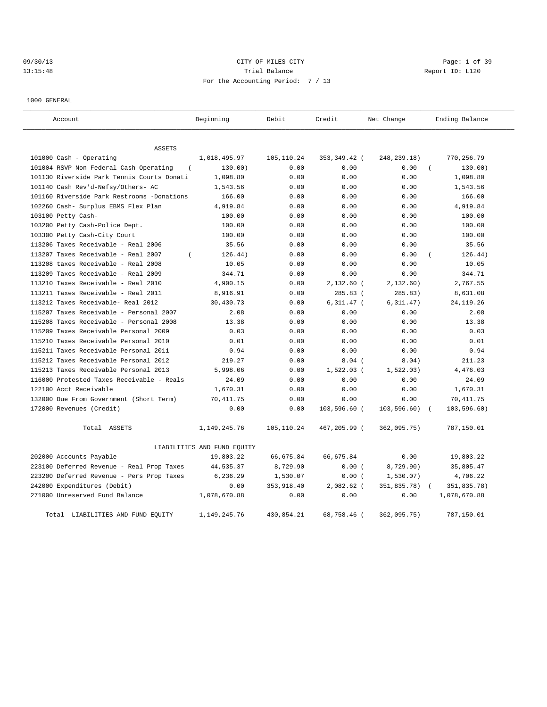# 09/30/13 Page: 1 of 39 13:15:48 Trial Balance Trial Balance Report ID: L120 For the Accounting Period: 7 / 13

1000 GENERAL

| Account                                         | Beginning                   | Debit      | Credit       | Net Change    | Ending Balance |
|-------------------------------------------------|-----------------------------|------------|--------------|---------------|----------------|
| <b>ASSETS</b>                                   |                             |            |              |               |                |
| 101000 Cash - Operating                         | 1,018,495.97                | 105,110.24 | 353,349.42 ( | 248, 239. 18) | 770,256.79     |
| 101004 RSVP Non-Federal Cash Operating          | 130.00)                     | 0.00       | 0.00         | 0.00          | 130.00)        |
| 101130 Riverside Park Tennis Courts Donati      | 1,098.80                    | 0.00       | 0.00         | 0.00          | 1,098.80       |
| 101140 Cash Rev'd-Nefsy/Others- AC              | 1,543.56                    | 0.00       | 0.00         | 0.00          | 1,543.56       |
| 101160 Riverside Park Restrooms -Donations      | 166.00                      | 0.00       | 0.00         | 0.00          | 166.00         |
| 102260 Cash- Surplus EBMS Flex Plan             | 4,919.84                    | 0.00       | 0.00         | 0.00          | 4,919.84       |
| 103100 Petty Cash-                              | 100.00                      | 0.00       | 0.00         | 0.00          | 100.00         |
| 103200 Petty Cash-Police Dept.                  | 100.00                      | 0.00       | 0.00         | 0.00          | 100.00         |
| 103300 Petty Cash-City Court                    | 100.00                      | 0.00       | 0.00         | 0.00          | 100.00         |
| 113206 Taxes Receivable - Real 2006             | 35.56                       | 0.00       | 0.00         | 0.00          | 35.56          |
| 113207 Taxes Receivable - Real 2007<br>$\left($ | 126.44)                     | 0.00       | 0.00         | 0.00          | 126.44)        |
| 113208 taxes Receivable - Real 2008             | 10.05                       | 0.00       | 0.00         | 0.00          | 10.05          |
| 113209 Taxes Receivable - Real 2009             | 344.71                      | 0.00       | 0.00         | 0.00          | 344.71         |
| 113210 Taxes Receivable - Real 2010             | 4,900.15                    | 0.00       | $2,132.60$ ( | 2,132.60)     | 2,767.55       |
| 113211 Taxes Receivable - Real 2011             | 8,916.91                    | 0.00       | 285.83 (     | 285.83)       | 8,631.08       |
| 113212 Taxes Receivable- Real 2012              | 30,430.73                   | 0.00       | $6,311.47$ ( | 6, 311.47)    | 24, 119. 26    |
| 115207 Taxes Receivable - Personal 2007         | 2.08                        | 0.00       | 0.00         | 0.00          | 2.08           |
| 115208 Taxes Receivable - Personal 2008         | 13.38                       | 0.00       | 0.00         | 0.00          | 13.38          |
| 115209 Taxes Receivable Personal 2009           | 0.03                        | 0.00       | 0.00         | 0.00          | 0.03           |
| 115210 Taxes Receivable Personal 2010           | 0.01                        | 0.00       | 0.00         | 0.00          | 0.01           |
| 115211 Taxes Receivable Personal 2011           | 0.94                        | 0.00       | 0.00         | 0.00          | 0.94           |
| 115212 Taxes Receivable Personal 2012           | 219.27                      | 0.00       | $8.04$ (     | 8.04)         | 211.23         |
| 115213 Taxes Receivable Personal 2013           | 5,998.06                    | 0.00       | $1,522.03$ ( | 1,522.03)     | 4,476.03       |
| 116000 Protested Taxes Receivable - Reals       | 24.09                       | 0.00       | 0.00         | 0.00          | 24.09          |
| 122100 Acct Receivable                          | 1,670.31                    | 0.00       | 0.00         | 0.00          | 1,670.31       |
| 132000 Due From Government (Short Term)         | 70,411.75                   | 0.00       | 0.00         | 0.00          | 70, 411.75     |
| 172000 Revenues (Credit)                        | 0.00                        | 0.00       | 103,596.60 ( | 103, 596.60)  | 103,596.60)    |
| Total ASSETS                                    | 1, 149, 245. 76             | 105,110.24 | 467,205.99 ( | 362,095.75)   | 787,150.01     |
|                                                 | LIABILITIES AND FUND EQUITY |            |              |               |                |
| 202000 Accounts Payable                         | 19,803.22                   | 66,675.84  | 66,675.84    | 0.00          | 19,803.22      |
| 223100 Deferred Revenue - Real Prop Taxes       | 44,535.37                   | 8,729.90   | 0.00(        | 8,729.90)     | 35,805.47      |
| 223200 Deferred Revenue - Pers Prop Taxes       | 6,236.29                    | 1,530.07   | 0.00(        | 1,530.07)     | 4,706.22       |
| 242000 Expenditures (Debit)                     | 0.00                        | 353,918.40 | $2,082.62$ ( | 351,835.78)   | 351,835.78)    |
| 271000 Unreserved Fund Balance                  | 1,078,670.88                | 0.00       | 0.00         | 0.00          | 1,078,670.88   |
| Total LIABILITIES AND FUND EQUITY               | 1,149,245.76                | 430,854.21 | 68,758.46 (  | 362,095.75)   | 787,150.01     |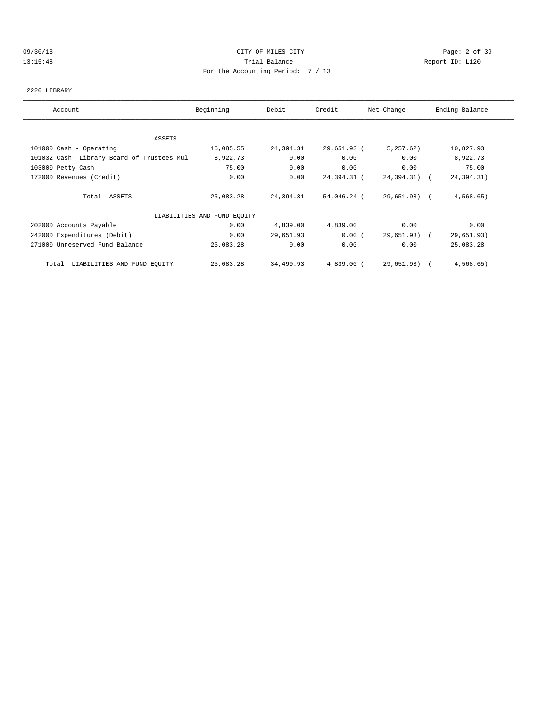### 09/30/13 CITY OF MILES CITY Page: 2 of 39 13:15:48 Trial Balance Report ID: L120 For the Accounting Period: 7 / 13

### 2220 LIBRARY

| Account                                    | Beginning                   | Debit     | Credit       | Net Change   | Ending Balance |
|--------------------------------------------|-----------------------------|-----------|--------------|--------------|----------------|
|                                            |                             |           |              |              |                |
| ASSETS                                     |                             |           |              |              |                |
| 101000 Cash - Operating                    | 16,085.55                   | 24,394.31 | 29,651.93 (  | 5,257.62)    | 10,827.93      |
| 101032 Cash- Library Board of Trustees Mul | 8,922.73                    | 0.00      | 0.00         | 0.00         | 8,922.73       |
| 103000 Petty Cash                          | 75.00                       | 0.00      | 0.00         | 0.00         | 75.00          |
| 172000 Revenues (Credit)                   | 0.00                        | 0.00      | 24,394.31 (  | 24,394.31) ( | 24, 394. 31)   |
| Total ASSETS                               | 25,083.28                   | 24,394.31 | 54,046.24 (  | 29,651.93) ( | 4,568.65       |
|                                            | LIABILITIES AND FUND EQUITY |           |              |              |                |
| 202000 Accounts Payable                    | 0.00                        | 4,839.00  | 4,839.00     | 0.00         | 0.00           |
| 242000 Expenditures (Debit)                | 0.00                        | 29,651.93 | 0.00(        | 29,651.93) ( | 29,651.93)     |
| 271000 Unreserved Fund Balance             | 25,083.28                   | 0.00      | 0.00         | 0.00         | 25,083.28      |
| Total LIABILITIES AND FUND EQUITY          | 25,083.28                   | 34,490.93 | $4,839.00$ ( | 29,651.93) ( | 4,568.65       |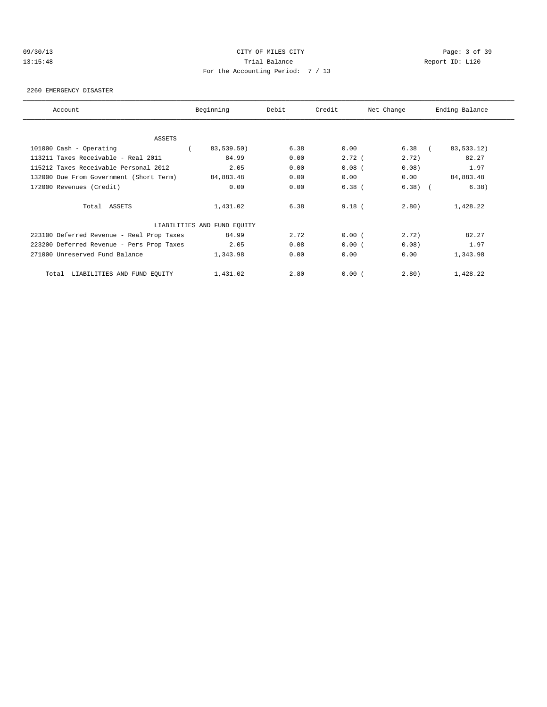# 09/30/13 CITY OF MILES CITY Page: 3 of 39 13:15:48 Trial Balance Report ID: L120 For the Accounting Period: 7 / 13

#### 2260 EMERGENCY DISASTER

| Account                                   | Beginning                   | Debit | Credit   | Net Change | Ending Balance |
|-------------------------------------------|-----------------------------|-------|----------|------------|----------------|
|                                           |                             |       |          |            |                |
| ASSETS<br>101000 Cash - Operating         | 83,539.50)                  | 6.38  | 0.00     | $6.38$ (   | 83,533.12)     |
| 113211 Taxes Receivable - Real 2011       | 84.99                       | 0.00  | 2.72(    | 2.72)      | 82.27          |
|                                           |                             |       |          |            |                |
| 115212 Taxes Receivable Personal 2012     | 2.05                        | 0.00  | $0.08$ ( | 0.08)      | 1.97           |
| 132000 Due From Government (Short Term)   | 84,883.48                   | 0.00  | 0.00     | 0.00       | 84,883.48      |
| 172000 Revenues (Credit)                  | 0.00                        | 0.00  | $6.38$ ( | $6.38)$ (  | 6.38)          |
| Total ASSETS                              | 1,431.02                    | 6.38  | $9.18$ ( | 2.80)      | 1,428.22       |
|                                           | LIABILITIES AND FUND EQUITY |       |          |            |                |
| 223100 Deferred Revenue - Real Prop Taxes | 84.99                       | 2.72  | 0.00(    | 2.72)      | 82.27          |
| 223200 Deferred Revenue - Pers Prop Taxes | 2.05                        | 0.08  | 0.00(    | 0.08       | 1.97           |
| 271000 Unreserved Fund Balance            | 1,343.98                    | 0.00  | 0.00     | 0.00       | 1,343.98       |
| Total LIABILITIES AND FUND EQUITY         | 1,431.02                    | 2.80  | 0.00(    | 2.80)      | 1,428.22       |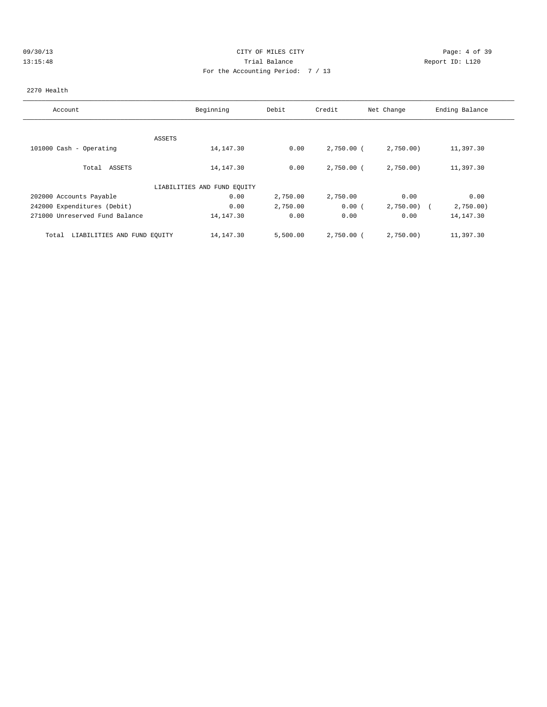# 09/30/13 CITY OF MILES CITY Page: 4 of 39 13:15:48 Trial Balance Report ID: L120 For the Accounting Period: 7 / 13

### 2270 Health

| Account                              | Beginning                   | Debit    | Credit       | Net Change | Ending Balance |
|--------------------------------------|-----------------------------|----------|--------------|------------|----------------|
|                                      |                             |          |              |            |                |
|                                      | ASSETS                      |          |              |            |                |
| 101000 Cash - Operating              | 14,147.30                   | 0.00     | $2,750.00$ ( | 2,750.00   | 11,397.30      |
| Total ASSETS                         | 14, 147.30                  | 0.00     | 2,750.00 (   | 2,750.00   | 11,397.30      |
|                                      | LIABILITIES AND FUND EOUITY |          |              |            |                |
| 202000 Accounts Payable              | 0.00                        | 2,750.00 | 2,750.00     | 0.00       | 0.00           |
| 242000 Expenditures (Debit)          | 0.00                        | 2,750.00 | 0.00(        | 2,750.00   | 2,750.00       |
| 271000 Unreserved Fund Balance       | 14,147.30                   | 0.00     | 0.00         | 0.00       | 14, 147.30     |
| LIABILITIES AND FUND EQUITY<br>Total | 14,147.30                   | 5,500.00 | $2,750.00$ ( | 2,750.00)  | 11,397.30      |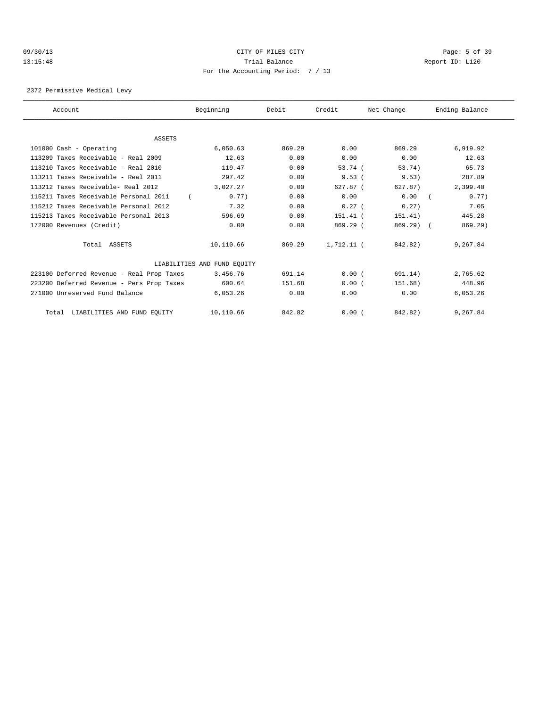### 09/30/13 CITY OF MILES CITY Page: 5 of 39 13:15:48 Trial Balance Report ID: L120 For the Accounting Period: 7 / 13

2372 Permissive Medical Levy

| Account                                   | Beginning                   | Debit  | Credit       | Net Change | Ending Balance      |
|-------------------------------------------|-----------------------------|--------|--------------|------------|---------------------|
| ASSETS                                    |                             |        |              |            |                     |
| 101000 Cash - Operating                   | 6,050.63                    | 869.29 | 0.00         | 869.29     | 6,919.92            |
| $113209$ Taxes Receivable - Real $2009$   | 12.63                       | 0.00   | 0.00         | 0.00       | 12.63               |
| 113210 Taxes Receivable - Real 2010       | 119.47                      | 0.00   | 53.74 (      | 53.74)     | 65.73               |
| 113211 Taxes Receivable - Real 2011       | 297.42                      | 0.00   | 9.53(        | 9.53)      | 287.89              |
| 113212 Taxes Receivable- Real 2012        | 3,027.27                    | 0.00   | $627.87$ $($ | 627.87)    | 2,399.40            |
| 115211 Taxes Receivable Personal 2011     | 0.77)                       | 0.00   | 0.00         | 0.00       | 0.77)<br>$\sqrt{2}$ |
| 115212 Taxes Receivable Personal 2012     | 7.32                        | 0.00   | 0.27(        | 0.27)      | 7.05                |
| 115213 Taxes Receivable Personal 2013     | 596.69                      | 0.00   | $151.41$ (   | 151.41)    | 445.28              |
| 172000 Revenues (Credit)                  | 0.00                        | 0.00   | 869.29 (     | $869.29$ ( | 869.29              |
| Total ASSETS                              | 10,110.66                   | 869.29 | $1.712.11$ ( | 842.82)    | 9,267.84            |
|                                           | LIABILITIES AND FUND EQUITY |        |              |            |                     |
| 223100 Deferred Revenue - Real Prop Taxes | 3,456.76                    | 691.14 | 0.00(        | 691.14)    | 2,765.62            |
| 223200 Deferred Revenue - Pers Prop Taxes | 600.64                      | 151.68 | 0.00(        | 151.68)    | 448.96              |
| 271000 Unreserved Fund Balance            | 6,053.26                    | 0.00   | 0.00         | 0.00       | 6,053.26            |
| LIABILITIES AND FUND EQUITY<br>Total      | 10,110.66                   | 842.82 | 0.00(        | 842.82)    | 9,267.84            |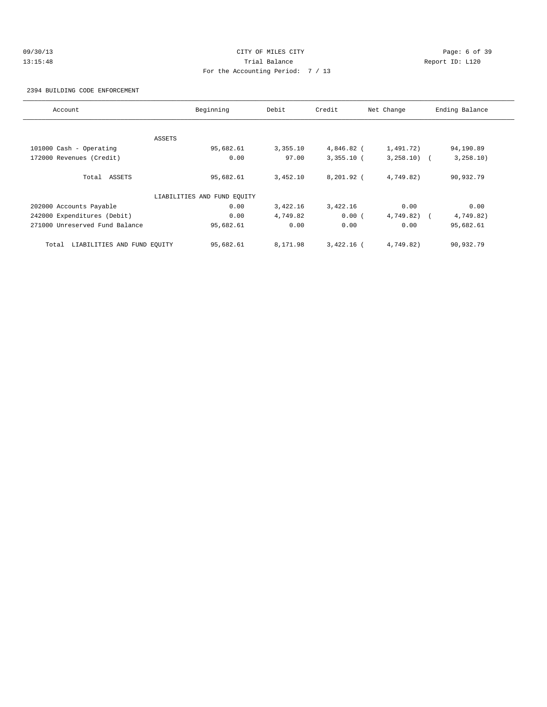# 09/30/13 CITY OF MILES CITY Page: 6 of 39 13:15:48 Trial Balance Report ID: L120 For the Accounting Period: 7 / 13

2394 BUILDING CODE ENFORCEMENT

| Account                              | Beginning                   | Debit    | Credit       | Net Change   | Ending Balance |
|--------------------------------------|-----------------------------|----------|--------------|--------------|----------------|
|                                      |                             |          |              |              |                |
|                                      | ASSETS                      |          |              |              |                |
| 101000 Cash - Operating              | 95,682.61                   | 3,355.10 | 4,846.82 (   | 1,491.72)    | 94,190.89      |
| 172000 Revenues (Credit)             | 0.00                        | 97.00    | $3,355.10$ ( | $3,258.10$ ( | 3, 258.10)     |
| Total ASSETS                         | 95,682.61                   | 3,452.10 | $8,201.92$ ( | 4,749.82)    | 90,932.79      |
|                                      | LIABILITIES AND FUND EQUITY |          |              |              |                |
| 202000 Accounts Payable              | 0.00                        | 3,422.16 | 3,422.16     | 0.00         | 0.00           |
| 242000 Expenditures (Debit)          | 0.00                        | 4,749.82 | 0.00(        | 4,749.82)    | 4,749.82)      |
| 271000 Unreserved Fund Balance       | 95,682.61                   | 0.00     | 0.00         | 0.00         | 95,682.61      |
| LIABILITIES AND FUND EQUITY<br>Total | 95,682.61                   | 8,171.98 | $3.422.16$ ( | 4,749.82)    | 90,932.79      |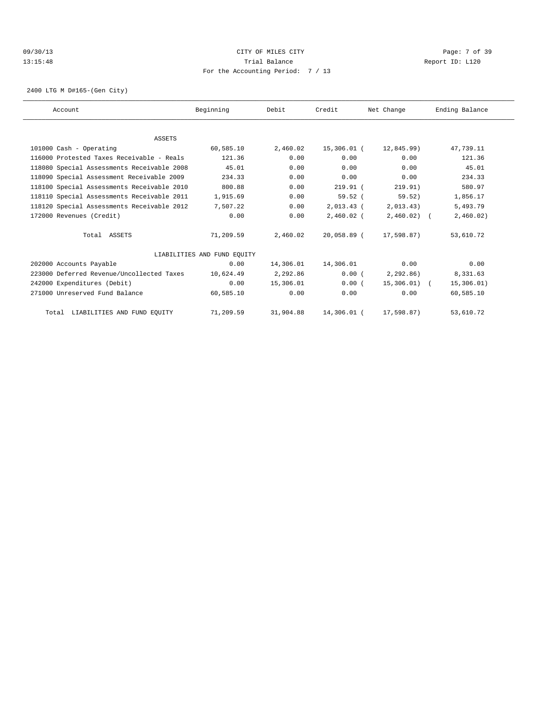### 09/30/13 Page: 7 of 39 13:15:48 Trial Balance Report ID: L120 For the Accounting Period: 7 / 13

2400 LTG M D#165-(Gen City)

| Account                                    | Beginning                   | Debit     | Credit       | Net Change   | Ending Balance |  |
|--------------------------------------------|-----------------------------|-----------|--------------|--------------|----------------|--|
|                                            |                             |           |              |              |                |  |
| ASSETS                                     |                             |           |              |              |                |  |
| 101000 Cash - Operating                    | 60,585.10                   | 2,460.02  | 15,306.01 (  | 12,845.99)   | 47,739.11      |  |
| 116000 Protested Taxes Receivable - Reals  | 121.36                      | 0.00      | 0.00         | 0.00         | 121.36         |  |
| 118080 Special Assessments Receivable 2008 | 45.01                       | 0.00      | 0.00         | 0.00         | 45.01          |  |
| 118090 Special Assessment Receivable 2009  | 234.33                      | 0.00      | 0.00         | 0.00         | 234.33         |  |
| 118100 Special Assessments Receivable 2010 | 800.88                      | 0.00      | $219.91$ (   | 219.91)      | 580.97         |  |
| 118110 Special Assessments Receivable 2011 | 1,915.69                    | 0.00      | $59.52$ (    | 59.52)       | 1,856.17       |  |
| 118120 Special Assessments Receivable 2012 | 7,507.22                    | 0.00      | $2,013.43$ ( | 2,013.43)    | 5,493.79       |  |
| 172000 Revenues (Credit)                   | 0.00                        | 0.00      | $2,460.02$ ( | $2,460.02$ ( | 2,460.02)      |  |
| Total ASSETS                               | 71,209.59                   | 2,460.02  | 20,058.89 (  | 17,598.87)   | 53,610.72      |  |
|                                            | LIABILITIES AND FUND EOUITY |           |              |              |                |  |
| 202000 Accounts Payable                    | 0.00                        | 14,306.01 | 14,306.01    | 0.00         | 0.00           |  |
| 223000 Deferred Revenue/Uncollected Taxes  | 10,624.49                   | 2,292.86  | 0.00(        | 2,292.86)    | 8,331.63       |  |
| 242000 Expenditures (Debit)                | 0.00                        | 15,306.01 | 0.00(        | 15,306.01) ( | 15,306.01)     |  |
| 271000 Unreserved Fund Balance             | 60,585.10                   | 0.00      | 0.00         | 0.00         | 60,585.10      |  |
| Total LIABILITIES AND FUND EQUITY          | 71,209.59                   | 31,904.88 | 14,306.01 (  | 17,598.87)   | 53,610.72      |  |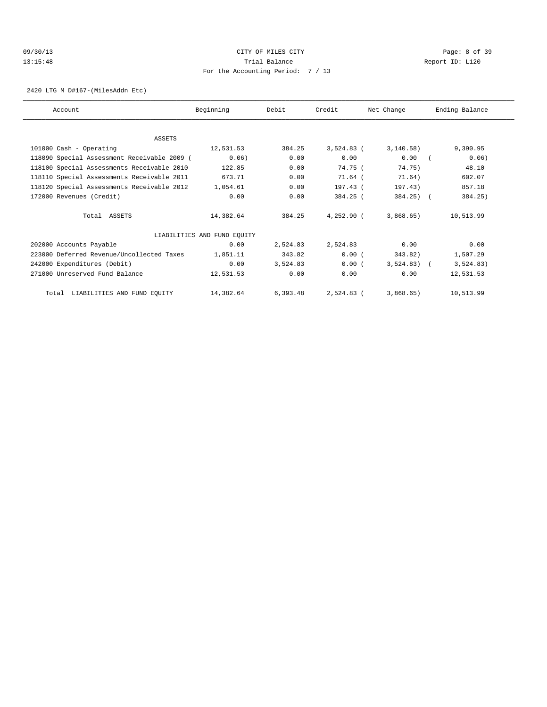# 09/30/13 CITY OF MILES CITY Page: 8 of 39 13:15:48 Trial Balance Report ID: L120 For the Accounting Period: 7 / 13

2420 LTG M D#167-(MilesAddn Etc)

| Account                                     | Beginning                   | Debit    | Credit       | Net Change   | Ending Balance |
|---------------------------------------------|-----------------------------|----------|--------------|--------------|----------------|
|                                             |                             |          |              |              |                |
| ASSETS                                      |                             |          |              |              |                |
| 101000 Cash - Operating                     | 12,531.53                   | 384.25   | $3,524.83$ ( | 3, 140.58)   | 9,390.95       |
| 118090 Special Assessment Receivable 2009 ( | 0.06)                       | 0.00     | 0.00         | 0.00         | 0.06)          |
| 118100 Special Assessments Receivable 2010  | 122.85                      | 0.00     | 74.75 (      | 74.75)       | 48.10          |
| 118110 Special Assessments Receivable 2011  | 673.71                      | 0.00     | 71.64 (      | 71.64)       | 602.07         |
| 118120 Special Assessments Receivable 2012  | 1,054.61                    | 0.00     | 197.43 (     | 197.43)      | 857.18         |
| 172000 Revenues (Credit)                    | 0.00                        | 0.00     | 384.25 (     | $384.25$ ) ( | 384.25)        |
| Total ASSETS                                | 14,382.64                   | 384.25   | $4.252.90$ ( | 3,868,65     | 10,513.99      |
|                                             | LIABILITIES AND FUND EQUITY |          |              |              |                |
| 202000 Accounts Payable                     | 0.00                        | 2,524.83 | 2,524.83     | 0.00         | 0.00           |
| 223000 Deferred Revenue/Uncollected Taxes   | 1,851.11                    | 343.82   | 0.00(        | 343.82)      | 1,507.29       |
| 242000 Expenditures (Debit)                 | 0.00                        | 3,524.83 | 0.00(        | $3,524.83$ ( | 3,524.83)      |
| 271000 Unreserved Fund Balance              | 12,531.53                   | 0.00     | 0.00         | 0.00         | 12,531.53      |
| LIABILITIES AND FUND EQUITY<br>Total        | 14,382.64                   | 6,393.48 | 2,524.83 (   | 3,868.65)    | 10,513.99      |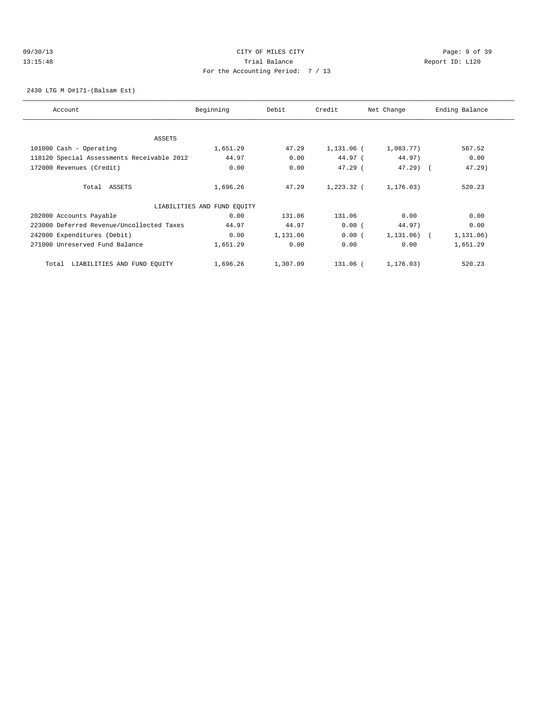### 09/30/13 Page: 9 of 39 13:15:48 Trial Balance Report ID: L120 For the Accounting Period: 7 / 13

2430 LTG M D#171-(Balsam Est)

| Account                                    | Beginning                   | Debit    | Credit     | Net Change   | Ending Balance |
|--------------------------------------------|-----------------------------|----------|------------|--------------|----------------|
| ASSETS                                     |                             |          |            |              |                |
| 101000 Cash - Operating                    | 1,651.29                    | 47.29    | 1,131.06 ( | 1,083.77)    | 567.52         |
| 118120 Special Assessments Receivable 2012 | 44.97                       | 0.00     | 44.97 (    | 44.97)       | 0.00           |
| 172000 Revenues (Credit)                   | 0.00                        | 0.00     | $47.29$ (  | $47.29$ (    | $47.29$ )      |
|                                            |                             |          |            |              |                |
| Total ASSETS                               | 1,696.26                    | 47.29    | 1,223.32 ( | 1,176.03)    | 520.23         |
|                                            | LIABILITIES AND FUND EQUITY |          |            |              |                |
| 202000 Accounts Payable                    | 0.00                        | 131.06   | 131.06     | 0.00         | 0.00           |
| 223000 Deferred Revenue/Uncollected Taxes  | 44.97                       | 44.97    | 0.00(      | 44.97)       | 0.00           |
| 242000 Expenditures (Debit)                | 0.00                        | 1,131.06 | 0.00(      | $1,131.06$ ( | 1,131.06)      |
| 271000 Unreserved Fund Balance             | 1,651.29                    | 0.00     | 0.00       | 0.00         | 1,651.29       |
| LIABILITIES AND FUND EQUITY<br>Total       | 1,696.26                    | 1,307.09 | 131.06 (   | 1, 176.03)   | 520.23         |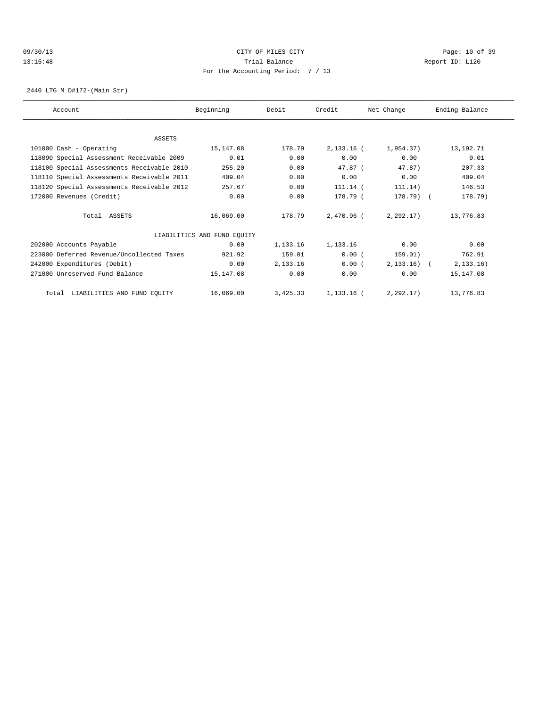### 09/30/13 Page: 10 of 39 13:15:48 Trial Balance Report ID: L120 For the Accounting Period: 7 / 13

2440 LTG M D#172-(Main Str)

| Account                                    | Beginning                   | Debit      | Credit     | Net Change   | Ending Balance |
|--------------------------------------------|-----------------------------|------------|------------|--------------|----------------|
|                                            |                             |            |            |              |                |
| ASSETS                                     |                             |            |            |              |                |
| 101000 Cash - Operating                    | 15,147.08                   | 178.79     | 2,133.16 ( | 1,954.37)    | 13, 192. 71    |
| 118090 Special Assessment Receivable 2009  | 0.01                        | 0.00       | 0.00       | 0.00         | 0.01           |
| 118100 Special Assessments Receivable 2010 | 255.20                      | 0.00       | $47.87$ (  | 47.87)       | 207.33         |
| 118110 Special Assessments Receivable 2011 | 409.04                      | 0.00       | 0.00       | 0.00         | 409.04         |
| 118120 Special Assessments Receivable 2012 | 257.67                      | 0.00       | $111.14$ ( | 111.14)      | 146.53         |
| 172000 Revenues (Credit)                   | 0.00                        | 0.00       | 178.79 (   | 178.79) (    | 178.79)        |
| Total ASSETS                               | 16,069.00                   | 178.79     | 2,470.96 ( | 2,292.17)    | 13,776.83      |
|                                            | LIABILITIES AND FUND EQUITY |            |            |              |                |
| 202000 Accounts Payable                    | 0.00                        | 1,133.16   | 1,133.16   | 0.00         | 0.00           |
| 223000 Deferred Revenue/Uncollected Taxes  | 921.92                      | 159.01     | 0.00(      | 159.01)      | 762.91         |
| 242000 Expenditures (Debit)                | 0.00                        | 2, 133, 16 | 0.00(      | $2,133.16$ ( | 2, 133, 16)    |
| 271000 Unreserved Fund Balance             | 15, 147.08                  | 0.00       | 0.00       | 0.00         | 15, 147.08     |
| Total LIABILITIES AND FUND EQUITY          | 16,069.00                   | 3,425.33   | 1,133.16 ( | 2.292.17     | 13,776.83      |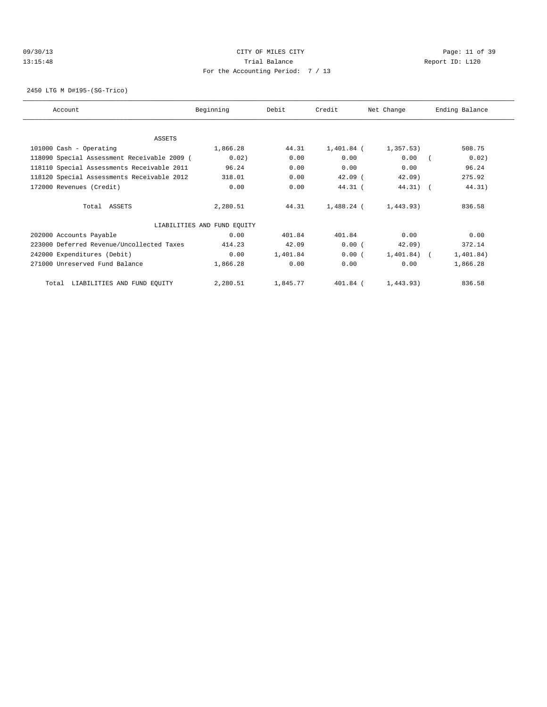### 09/30/13 Page: 11 of 39 13:15:48 Trial Balance Report ID: L120 For the Accounting Period: 7 / 13

2450 LTG M D#195-(SG-Trico)

| Account                                     | Beginning                   | Debit    | Credit     | Net Change     | Ending Balance |
|---------------------------------------------|-----------------------------|----------|------------|----------------|----------------|
|                                             |                             |          |            |                |                |
| ASSETS                                      |                             |          |            |                |                |
| 101000 Cash - Operating                     | 1,866.28                    | 44.31    | 1,401.84 ( | 1,357.53)      | 508.75         |
| 118090 Special Assessment Receivable 2009 ( | 0.02)                       | 0.00     | 0.00       | 0.00           | 0.02)          |
| 118110 Special Assessments Receivable 2011  | 96.24                       | 0.00     | 0.00       | 0.00           | 96.24          |
| 118120 Special Assessments Receivable 2012  | 318.01                      | 0.00     | $42.09$ (  | $42.09$ )      | 275.92         |
| 172000 Revenues (Credit)                    | 0.00                        | 0.00     | 44.31 (    | $44.31)$ (     | 44.31)         |
| Total ASSETS                                | 2,280.51                    | 44.31    | 1,488.24 ( | 1,443.93)      | 836.58         |
|                                             | LIABILITIES AND FUND EQUITY |          |            |                |                |
| 202000 Accounts Payable                     | 0.00                        | 401.84   | 401.84     | 0.00           | 0.00           |
| 223000 Deferred Revenue/Uncollected Taxes   | 414.23                      | 42.09    | 0.00(      | $42.09$ )      | 372.14         |
| 242000 Expenditures (Debit)                 | 0.00                        | 1,401.84 | 0.00(      | $1,401.84$ ) ( | 1,401.84)      |
| 271000 Unreserved Fund Balance              | 1,866.28                    | 0.00     | 0.00       | 0.00           | 1,866.28       |
| Total LIABILITIES AND FUND EQUITY           | 2,280.51                    | 1,845.77 | 401.84 (   | 1,443.93)      | 836.58         |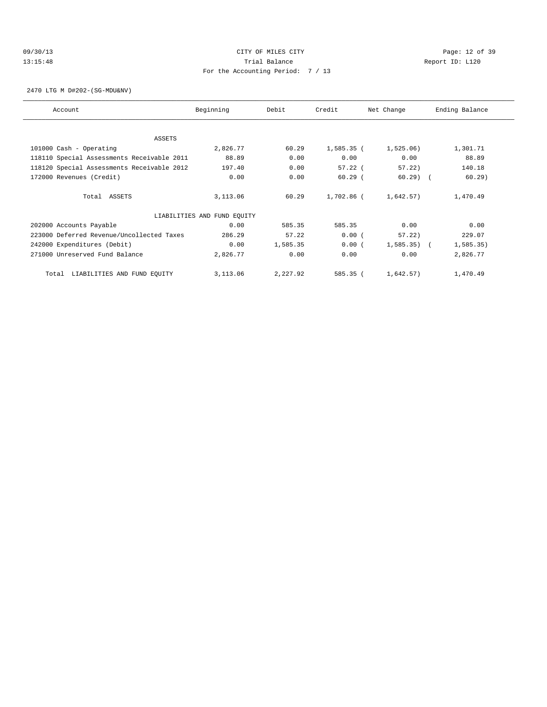### 09/30/13 Page: 12 of 39 13:15:48 Trial Balance Report ID: L120 For the Accounting Period: 7 / 13

2470 LTG M D#202-(SG-MDU&NV)

| Account                                    | Beginning                   | Debit    | Credit       | Net Change | Ending Balance |
|--------------------------------------------|-----------------------------|----------|--------------|------------|----------------|
|                                            |                             |          |              |            |                |
| ASSETS                                     |                             |          |              |            |                |
| 101000 Cash - Operating                    | 2,826.77                    | 60.29    | $1,585.35$ ( | 1,525.06)  | 1,301.71       |
| 118110 Special Assessments Receivable 2011 | 88.89                       | 0.00     | 0.00         | 0.00       | 88.89          |
| 118120 Special Assessments Receivable 2012 | 197.40                      | 0.00     | $57.22$ (    | 57.22      | 140.18         |
| 172000 Revenues (Credit)                   | 0.00                        | 0.00     | $60.29$ (    | $60.29$ (  | $60.29$ )      |
| Total ASSETS                               | 3,113.06                    | 60.29    | 1,702.86 (   | 1,642.57)  | 1,470.49       |
|                                            | LIABILITIES AND FUND EQUITY |          |              |            |                |
| 202000 Accounts Payable                    | 0.00                        | 585.35   | 585.35       | 0.00       | 0.00           |
| 223000 Deferred Revenue/Uncollected Taxes  | 286.29                      | 57.22    | 0.00(        | 57.22)     | 229.07         |
| 242000 Expenditures (Debit)                | 0.00                        | 1,585.35 | 0.00(        | 1,585.35)  | 1, 585.35)     |
| 271000 Unreserved Fund Balance             | 2,826.77                    | 0.00     | 0.00         | 0.00       | 2,826.77       |
| LIABILITIES AND FUND EQUITY<br>Total       | 3,113.06                    | 2,227.92 | 585.35 (     | 1,642.57)  | 1,470.49       |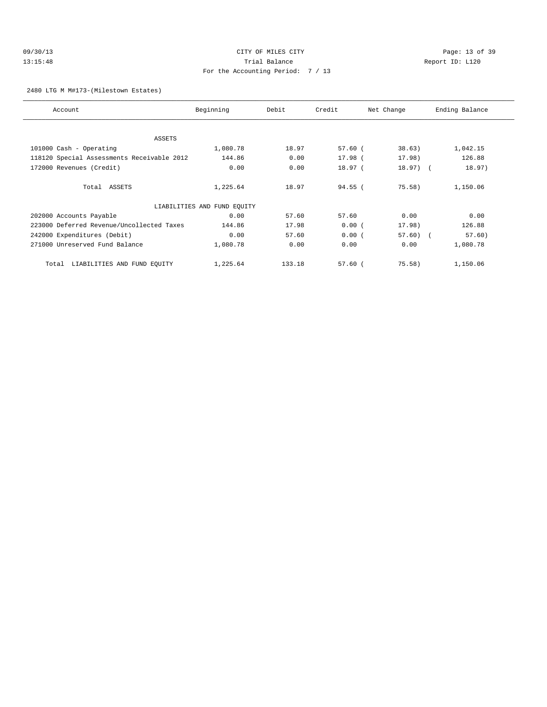# 09/30/13 Page: 13 of 39 13:15:48 Trial Balance Report ID: L120 For the Accounting Period: 7 / 13

2480 LTG M M#173-(Milestown Estates)

| Account                                    | Beginning                   | Debit  | Credit    | Net Change | Ending Balance |
|--------------------------------------------|-----------------------------|--------|-----------|------------|----------------|
| ASSETS                                     |                             |        |           |            |                |
| 101000 Cash - Operating                    | 1,080.78                    | 18.97  | $57.60$ ( | 38.63)     | 1,042.15       |
|                                            |                             |        |           |            |                |
| 118120 Special Assessments Receivable 2012 | 144.86                      | 0.00   | $17.98$ ( | 17.98)     | 126.88         |
| 172000 Revenues (Credit)                   | 0.00                        | 0.00   | 18.97(    | $18.97)$ ( | 18.97)         |
| Total ASSETS                               | 1,225.64                    | 18.97  | $94.55$ ( | 75.58)     | 1,150.06       |
|                                            | LIABILITIES AND FUND EQUITY |        |           |            |                |
| 202000 Accounts Payable                    | 0.00                        | 57.60  | 57.60     | 0.00       | 0.00           |
| 223000 Deferred Revenue/Uncollected Taxes  | 144.86                      | 17.98  | 0.00(     | 17.98)     | 126.88         |
| 242000 Expenditures (Debit)                | 0.00                        | 57.60  | 0.00(     | $57.60$ (  | 57.60)         |
| 271000 Unreserved Fund Balance             | 1,080.78                    | 0.00   | 0.00      | 0.00       | 1,080.78       |
| LIABILITIES AND FUND EQUITY<br>Total       | 1,225.64                    | 133.18 | $57.60$ ( | 75.58)     | 1,150.06       |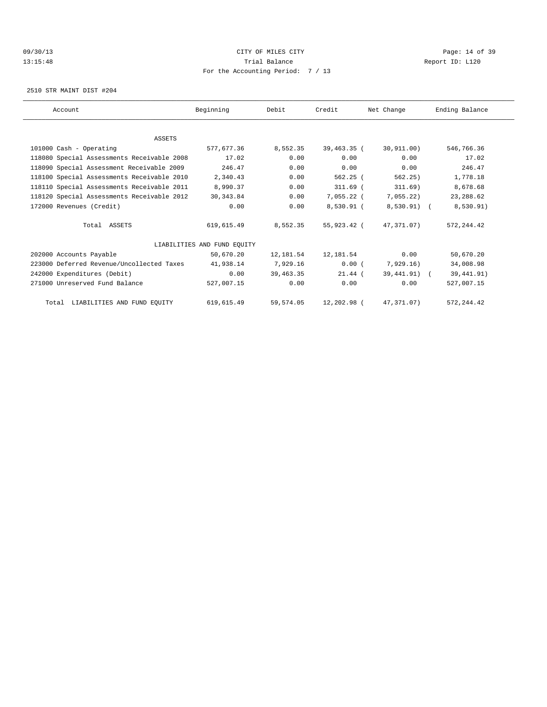### 09/30/13 Page: 14 of 39 13:15:48 Trial Balance Report ID: L120 For the Accounting Period: 7 / 13

2510 STR MAINT DIST #204

| Account                                    | Beginning                   | Debit       | Credit        | Net Change            | Ending Balance |
|--------------------------------------------|-----------------------------|-------------|---------------|-----------------------|----------------|
|                                            |                             |             |               |                       |                |
| <b>ASSETS</b>                              |                             |             |               |                       |                |
| 101000 Cash - Operating                    | 577.677.36                  | 8,552.35    | $39.463.35$ ( | 30.911.00)            | 546,766.36     |
| 118080 Special Assessments Receivable 2008 | 17.02                       | 0.00        | 0.00          | 0.00                  | 17.02          |
| 118090 Special Assessment Receivable 2009  | 246.47                      | 0.00        | 0.00          | 0.00                  | 246.47         |
| 118100 Special Assessments Receivable 2010 | 2,340.43                    | 0.00        | $562.25$ (    | 562.25)               | 1,778.18       |
| 118110 Special Assessments Receivable 2011 | 8,990.37                    | 0.00        | $311.69$ (    | 311.69)               | 8,678.68       |
| 118120 Special Assessments Receivable 2012 | 30, 343.84                  | 0.00        | 7,055.22 (    | 7,055.22)             | 23, 288.62     |
| 172000 Revenues (Credit)                   | 0.00                        | 0.00        | 8,530.91 (    | 8,530.91) (           | 8,530.91)      |
| Total ASSETS                               | 619,615.49                  | 8,552.35    | 55,923.42 (   | 47,371,07)            | 572, 244.42    |
|                                            | LIABILITIES AND FUND EOUITY |             |               |                       |                |
| 202000 Accounts Payable                    | 50,670.20                   | 12,181.54   | 12,181.54     | 0.00                  | 50,670.20      |
| 223000 Deferred Revenue/Uncollected Taxes  | 41,938.14                   | 7,929.16    | 0.00(         | 7,929.16)             | 34,008.98      |
| 242000 Expenditures (Debit)                | 0.00                        | 39, 463, 35 | $21.44$ (     | 39,441.91) (          | 39, 441.91)    |
| 271000 Unreserved Fund Balance             | 527,007.15                  | 0.00        | 0.00          | 0.00                  | 527,007.15     |
| Total LIABILITIES AND FUND EQUITY          | 619,615.49                  | 59,574.05   |               | 12,202.98 (47,371.07) | 572, 244.42    |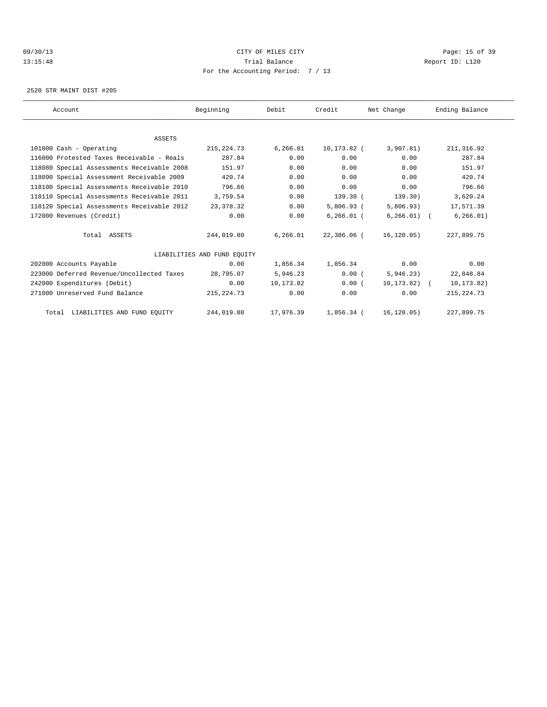### 09/30/13 Page: 15 of 39 13:15:48 Trial Balance Report ID: L120 For the Accounting Period: 7 / 13

2520 STR MAINT DIST #205

| Account                                    | Beginning                   | Debit     | Credit        | Net Change     | Ending Balance |  |
|--------------------------------------------|-----------------------------|-----------|---------------|----------------|----------------|--|
|                                            |                             |           |               |                |                |  |
| <b>ASSETS</b>                              |                             |           |               |                |                |  |
| 101000 Cash - Operating                    | 215, 224.73                 | 6, 266.01 | 10,173.82 (   | 3,907.81)      | 211, 316.92    |  |
| 116000 Protested Taxes Receivable - Reals  | 287.84                      | 0.00      | 0.00          | 0.00           | 287.84         |  |
| 118080 Special Assessments Receivable 2008 | 151.97                      | 0.00      | 0.00          | 0.00           | 151.97         |  |
| 118090 Special Assessment Receivable 2009  | 420.74                      | 0.00      | 0.00          | 0.00           | 420.74         |  |
| 118100 Special Assessments Receivable 2010 | 796.66                      | 0.00      | 0.00          | 0.00           | 796.66         |  |
| 118110 Special Assessments Receivable 2011 | 3,759.54                    | 0.00      | 139.30(       | 139.30)        | 3,620.24       |  |
| 118120 Special Assessments Receivable 2012 | 23,378.32                   | 0.00      | $5,806.93$ (  | 5,806.93)      | 17,571.39      |  |
| 172000 Revenues (Credit)                   | 0.00                        | 0.00      | $6, 266.01$ ( | $6, 266.01)$ ( | 6, 266.01)     |  |
| Total ASSETS                               | 244,019.80                  | 6.266.01  | 22,386.06 (   | 16,120.05)     | 227,899.75     |  |
|                                            | LIABILITIES AND FUND EOUITY |           |               |                |                |  |
| 202000 Accounts Payable                    | 0.00                        | 1,856.34  | 1,856.34      | 0.00           | 0.00           |  |
| 223000 Deferred Revenue/Uncollected Taxes  | 28,795.07                   | 5,946.23  | 0.00(         | 5,946.23)      | 22,848.84      |  |
| 242000 Expenditures (Debit)                | 0.00                        | 10,173.82 | 0.00(         | 10,173.82) (   | 10,173.82)     |  |
| 271000 Unreserved Fund Balance             | 215, 224.73                 | 0.00      | 0.00          | 0.00           | 215, 224.73    |  |
| Total LIABILITIES AND FUND EQUITY          | 244,019.80                  | 17,976.39 | $1,856.34$ (  | 16, 120.05)    | 227,899.75     |  |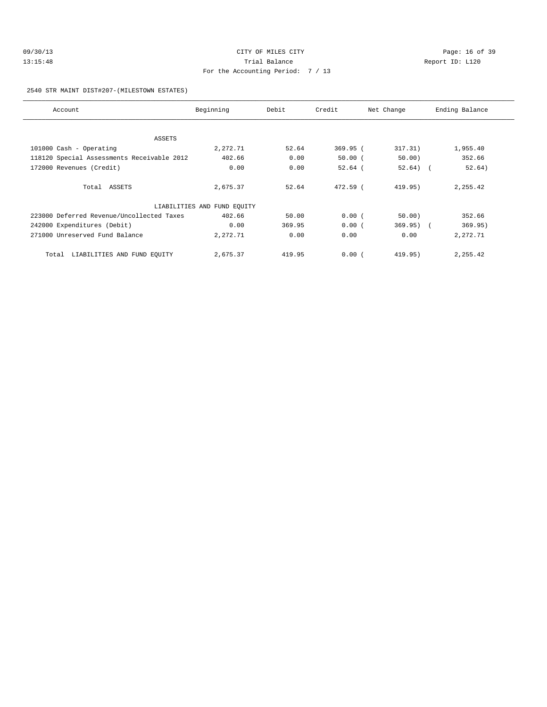| 09/30/13 | CITY OF MILES CITY                | Page: 16 of 39  |  |
|----------|-----------------------------------|-----------------|--|
| 13:15:48 | Trial Balance                     | Report ID: L120 |  |
|          | For the Accounting Period: 7 / 13 |                 |  |

2540 STR MAINT DIST#207-(MILESTOWN ESTATES)

| Account                                    | Beginning                   | Debit  | Credit     | Net Change  | Ending Balance |
|--------------------------------------------|-----------------------------|--------|------------|-------------|----------------|
|                                            |                             |        |            |             |                |
| ASSETS                                     |                             |        |            |             |                |
| 101000 Cash - Operating                    | 2,272.71                    | 52.64  | $369.95$ ( | 317.31)     | 1,955.40       |
| 118120 Special Assessments Receivable 2012 | 402.66                      | 0.00   | $50.00$ (  | 50.00)      | 352.66         |
| 172000 Revenues (Credit)                   | 0.00                        | 0.00   | $52.64$ (  | $52.64)$ (  | 52.64)         |
|                                            |                             |        |            |             |                |
| Total ASSETS                               | 2,675.37                    | 52.64  | $472.59$ ( | 419.95)     | 2,255.42       |
|                                            | LIABILITIES AND FUND EQUITY |        |            |             |                |
| 223000 Deferred Revenue/Uncollected Taxes  | 402.66                      | 50.00  | 0.00(      | 50.00)      | 352.66         |
| 242000 Expenditures (Debit)                | 0.00                        | 369.95 | 0.00(      | $369.95)$ ( | 369.95)        |
| 271000 Unreserved Fund Balance             | 2,272.71                    | 0.00   | 0.00       | 0.00        | 2,272.71       |
| Total LIABILITIES AND FUND EQUITY          | 2,675.37                    | 419.95 | 0.00(      | 419.95)     | 2,255.42       |
|                                            |                             |        |            |             |                |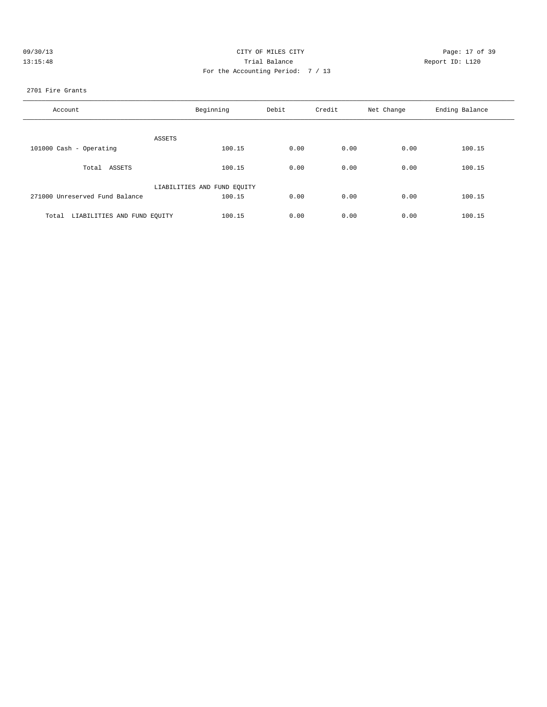| 09/30/13 | CITY OF MILES CITY                | Page: 17 of 39  |
|----------|-----------------------------------|-----------------|
| 13:15:48 | Trial Balance                     | Report ID: L120 |
|          | For the Accounting Period: 7 / 13 |                 |

### 2701 Fire Grants

| Account                              | Beginning                   | Debit | Credit | Net Change | Ending Balance |  |
|--------------------------------------|-----------------------------|-------|--------|------------|----------------|--|
| ASSETS                               |                             |       |        |            |                |  |
| 101000 Cash - Operating              | 100.15                      | 0.00  | 0.00   | 0.00       | 100.15         |  |
| Total ASSETS                         | 100.15                      | 0.00  | 0.00   | 0.00       | 100.15         |  |
|                                      | LIABILITIES AND FUND EQUITY |       |        |            |                |  |
| 271000 Unreserved Fund Balance       | 100.15                      | 0.00  | 0.00   | 0.00       | 100.15         |  |
| LIABILITIES AND FUND EOUITY<br>Total | 100.15                      | 0.00  | 0.00   | 0.00       | 100.15         |  |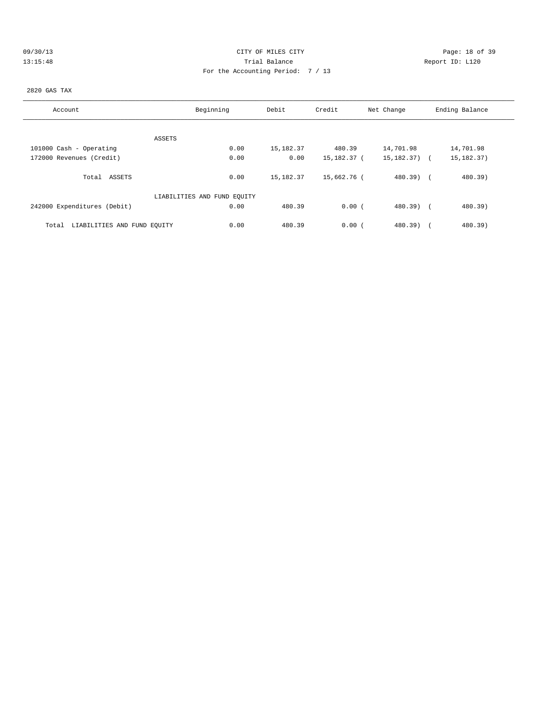|  |  |  | 09/30/13 |  |
|--|--|--|----------|--|
|  |  |  | 13:15:48 |  |

# CITY OF MILES CITY CONTROL CONTROL CONTROL CONTROL CONTROL PAGE: 18 of 39 13:15:48 Trial Balance Report ID: L120 For the Accounting Period: 7 / 13

### 2820 GAS TAX

| Account                              | Beginning                   | Debit     | Credit      | Net Change               | Ending Balance |
|--------------------------------------|-----------------------------|-----------|-------------|--------------------------|----------------|
|                                      |                             |           |             |                          |                |
|                                      | ASSETS                      |           |             |                          |                |
| 101000 Cash - Operating              | 0.00                        | 15,182.37 | 480.39      | 14,701.98                | 14,701.98      |
| 172000 Revenues (Credit)             | 0.00                        | 0.00      | 15,182.37 ( | 15,182.37) (             | 15, 182. 37)   |
| Total ASSETS                         | 0.00                        | 15,182.37 | 15,662.76 ( | $480.39$ $($             | 480.39)        |
|                                      | LIABILITIES AND FUND EQUITY |           |             |                          |                |
| 242000 Expenditures (Debit)          | 0.00                        | 480.39    | 0.00(       | $480.39$ )<br>$\sqrt{2}$ | 480.39)        |
| LIABILITIES AND FUND EQUITY<br>Total | 0.00                        | 480.39    | 0.00(       | 480.39)                  | 480.39)        |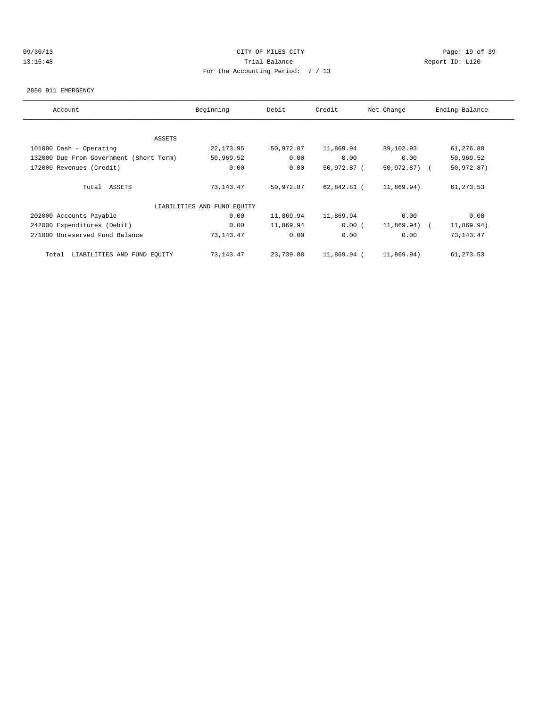# 09/30/13 Page: 19 of 39 13:15:48 Trial Balance Report ID: L120 For the Accounting Period: 7 / 13

#### 2850 911 EMERGENCY

| Account                                 | Beginning                   | Debit     | Credit      | Net Change     | Ending Balance |
|-----------------------------------------|-----------------------------|-----------|-------------|----------------|----------------|
|                                         |                             |           |             |                |                |
| ASSETS                                  |                             |           |             |                |                |
| 101000 Cash - Operating                 | 22, 173.95                  | 50,972.87 | 11,869.94   | 39,102.93      | 61,276.88      |
| 132000 Due From Government (Short Term) | 50,969.52                   | 0.00      | 0.00        | 0.00           | 50,969.52      |
| 172000 Revenues (Credit)                | 0.00                        | 0.00      | 50,972.87 ( | 50,972.87) (   | 50,972.87)     |
| Total ASSETS                            | 73,143.47                   | 50,972.87 | 62,842.81 ( | 11,869.94)     | 61,273.53      |
|                                         | LIABILITIES AND FUND EQUITY |           |             |                |                |
| 202000 Accounts Payable                 | 0.00                        | 11,869.94 | 11,869.94   | 0.00           | 0.00           |
| 242000 Expenditures (Debit)             | 0.00                        | 11,869.94 | 0.00(       | $11,869.94)$ ( | 11,869.94)     |
| 271000 Unreserved Fund Balance          | 73,143.47                   | 0.00      | 0.00        | 0.00           | 73, 143. 47    |
| Total LIABILITIES AND FUND EQUITY       | 73,143.47                   | 23,739.88 | 11,869.94 ( | 11,869.94)     | 61,273.53      |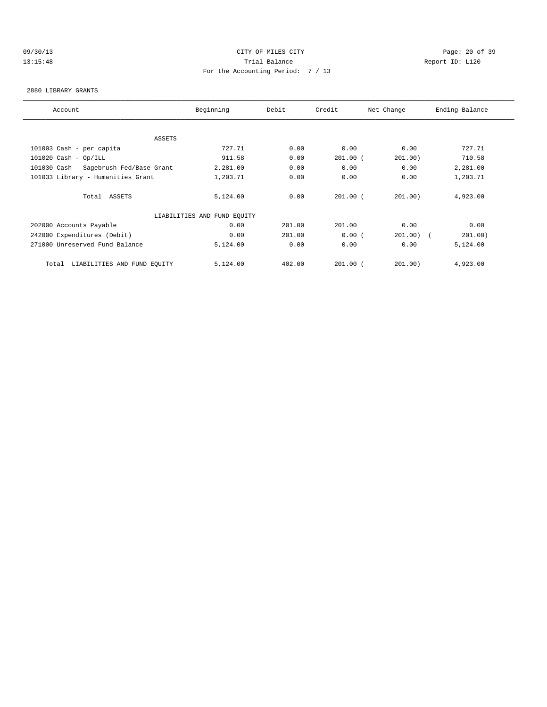# 09/30/13 Page: 20 of 39 13:15:48 Trial Balance Report ID: L120 For the Accounting Period: 7 / 13

#### 2880 LIBRARY GRANTS

| Ending Balance |
|----------------|
|                |
|                |
| 727.71         |
| 710.58         |
| 2,281.00       |
| 1,203.71       |
|                |
| 4,923.00       |
|                |
| 0.00           |
| 201.00)        |
| 5,124.00       |
|                |
| 4,923.00       |
|                |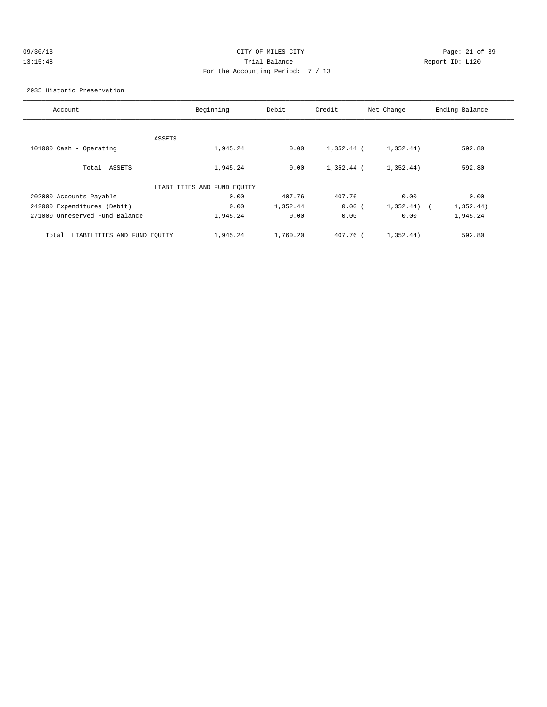| 09/30/13 |  |
|----------|--|
| 13:15:48 |  |

# CITY OF MILES CITY CONTROL CONTROL CONTROL CONTROL CONTROL PAGE: 21 of 39 13:15:48 Trial Balance and Communications of the Report ID: L120 For the Accounting Period: 7 / 13

#### 2935 Historic Preservation

| Account                              | Beginning                   | Debit    | Credit     | Net Change              | Ending Balance |
|--------------------------------------|-----------------------------|----------|------------|-------------------------|----------------|
|                                      |                             |          |            |                         |                |
|                                      | ASSETS                      |          |            |                         |                |
| 101000 Cash - Operating              | 1,945.24                    | 0.00     | 1,352.44 ( | 1,352.44)               | 592.80         |
|                                      |                             |          |            |                         |                |
| Total ASSETS                         | 1,945.24                    | 0.00     | 1,352.44 ( | 1,352.44)               | 592.80         |
|                                      | LIABILITIES AND FUND EQUITY |          |            |                         |                |
|                                      |                             |          |            |                         |                |
| 202000 Accounts Payable              | 0.00                        | 407.76   | 407.76     | 0.00                    | 0.00           |
| 242000 Expenditures (Debit)          | 0.00                        | 1,352.44 | 0.00(      | 1,352.44)<br>$\sqrt{2}$ | 1,352.44)      |
| 271000 Unreserved Fund Balance       | 1,945.24                    | 0.00     | 0.00       | 0.00                    | 1,945.24       |
|                                      |                             |          |            |                         |                |
| LIABILITIES AND FUND EQUITY<br>Total | 1,945.24                    | 1,760.20 | 407.76 (   | 1,352.44)               | 592.80         |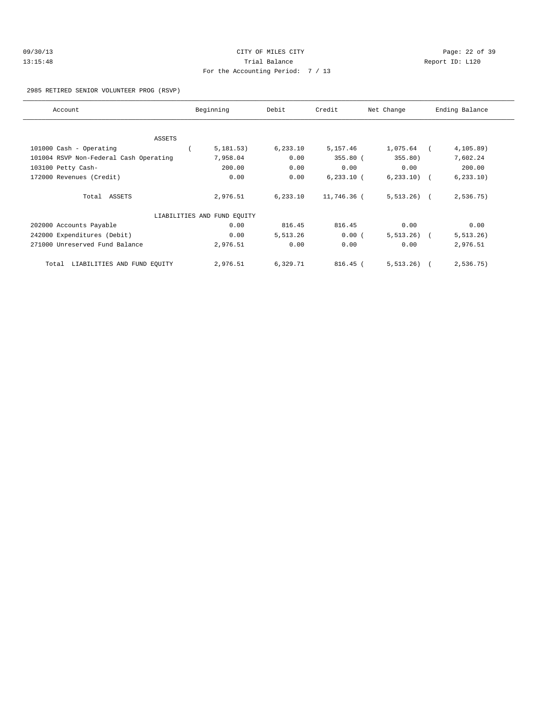| 09/30/13 | CITY OF MILES CITY                | Page: $22o$     |
|----------|-----------------------------------|-----------------|
| 13:15:48 | Trial Balance                     | Report ID: L120 |
|          | For the Accounting Period: 7 / 13 |                 |

Page: 22 of 39

### 2985 RETIRED SENIOR VOLUNTEER PROG (RSVP)

| Account                                | Beginning                   | Debit     | Credit       | Net Change     | Ending Balance |
|----------------------------------------|-----------------------------|-----------|--------------|----------------|----------------|
|                                        |                             |           |              |                |                |
| <b>ASSETS</b>                          |                             |           |              |                |                |
| 101000 Cash - Operating                | 5,181.53)                   | 6, 233.10 | 5,157.46     | 1,075.64       | $4, 105.89$ )  |
| 101004 RSVP Non-Federal Cash Operating | 7,958.04                    | 0.00      | $355.80$ (   | 355.80)        | 7,602.24       |
| 103100 Petty Cash-                     | 200.00                      | 0.00      | 0.00         | 0.00           | 200.00         |
| 172000 Revenues (Credit)               | 0.00                        | 0.00      | $6,233.10$ ( | $6, 233, 10$ ( | 6, 233.10)     |
| Total ASSETS                           | 2,976.51                    | 6, 233.10 | 11,746.36 (  | $5,513.26$ (   | 2,536.75)      |
|                                        | LIABILITIES AND FUND EQUITY |           |              |                |                |
| 202000 Accounts Payable                | 0.00                        | 816.45    | 816.45       | 0.00           | 0.00           |
| 242000 Expenditures (Debit)            | 0.00                        | 5,513.26  | 0.00(        | $5,513.26$ (   | 5, 513.26)     |
| 271000 Unreserved Fund Balance         | 2,976.51                    | 0.00      | 0.00         | 0.00           | 2,976.51       |
| LIABILITIES AND FUND EQUITY<br>Total   | 2,976.51                    | 6,329.71  | 816.45 (     | 5, 513, 26)    | 2,536.75)      |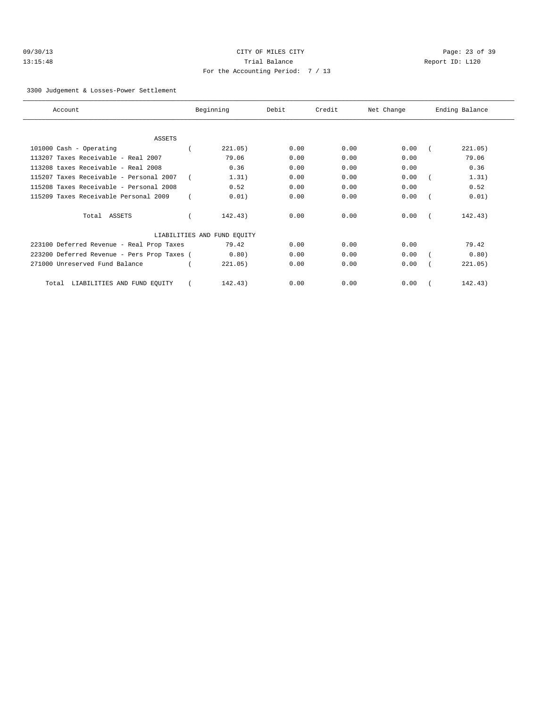| 09/30/13 |  |
|----------|--|
| 13:15:48 |  |

# CITY OF MILES CITY CONTROL CONTROL CONTROL CONTROL CONTROL PAGE: 23 of 39 13:15:48 Trial Balance and Communications of the Report ID: L120 For the Accounting Period: 7 / 13

#### 3300 Judgement & Losses-Power Settlement

| Account                                     | Beginning                   | Debit | Credit | Net Change | Ending Balance |
|---------------------------------------------|-----------------------------|-------|--------|------------|----------------|
|                                             |                             |       |        |            |                |
| <b>ASSETS</b>                               |                             |       |        |            |                |
| 101000 Cash - Operating                     | 221.05)                     | 0.00  | 0.00   | 0.00       | 221.05)        |
| 113207 Taxes Receivable - Real 2007         | 79.06                       | 0.00  | 0.00   | 0.00       | 79.06          |
| 113208 taxes Receivable - Real 2008         | 0.36                        | 0.00  | 0.00   | 0.00       | 0.36           |
| 115207 Taxes Receivable - Personal 2007     | 1.31)                       | 0.00  | 0.00   | 0.00       | 1.31)          |
| 115208 Taxes Receivable - Personal 2008     | 0.52                        | 0.00  | 0.00   | 0.00       | 0.52           |
| 115209 Taxes Receivable Personal 2009       | 0.01)                       | 0.00  | 0.00   | 0.00       | 0.01)          |
| Total ASSETS                                | 142.43)                     | 0.00  | 0.00   | 0.00       | 142.43)        |
|                                             | LIABILITIES AND FUND EQUITY |       |        |            |                |
| 223100 Deferred Revenue - Real Prop Taxes   | 79.42                       | 0.00  | 0.00   | 0.00       | 79.42          |
| 223200 Deferred Revenue - Pers Prop Taxes ( | 0.80)                       | 0.00  | 0.00   | 0.00       | 0.80)          |
| 271000 Unreserved Fund Balance              | 221.05)                     | 0.00  | 0.00   | 0.00       | 221.05)        |
| LIABILITIES AND FUND EQUITY<br>Total        | 142.43)                     | 0.00  | 0.00   | 0.00       | 142.43)        |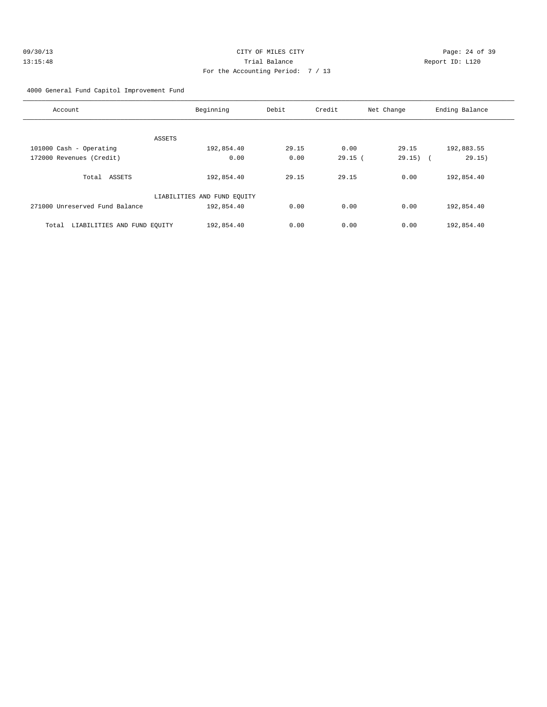| 09/30/13 | CITY OF MILES CITY                | Page: $24o$     |
|----------|-----------------------------------|-----------------|
| 13:15:48 | Trial Balance                     | Report ID: L120 |
|          | For the Accounting Period: 7 / 13 |                 |

Page: 24 of 39

4000 General Fund Capitol Improvement Fund

| Account                              | Beginning                   | Debit | Credit | Net Change | Ending Balance                     |
|--------------------------------------|-----------------------------|-------|--------|------------|------------------------------------|
|                                      |                             |       |        |            |                                    |
| ASSETS                               |                             |       |        |            |                                    |
| 101000 Cash - Operating              | 192,854.40                  | 29.15 | 0.00   | 29.15      | 192,883.55                         |
| 172000 Revenues (Credit)             | 0.00                        | 0.00  | 29.15( | 29.15)     | 29.15)<br>$\overline{\phantom{a}}$ |
|                                      |                             |       |        |            |                                    |
| Total ASSETS                         | 192,854.40                  | 29.15 | 29.15  | 0.00       | 192,854.40                         |
|                                      |                             |       |        |            |                                    |
|                                      | LIABILITIES AND FUND EQUITY |       |        |            |                                    |
| 271000 Unreserved Fund Balance       | 192,854.40                  | 0.00  | 0.00   | 0.00       | 192,854.40                         |
|                                      |                             |       |        |            |                                    |
| LIABILITIES AND FUND EOUITY<br>Total | 192,854.40                  | 0.00  | 0.00   | 0.00       | 192,854.40                         |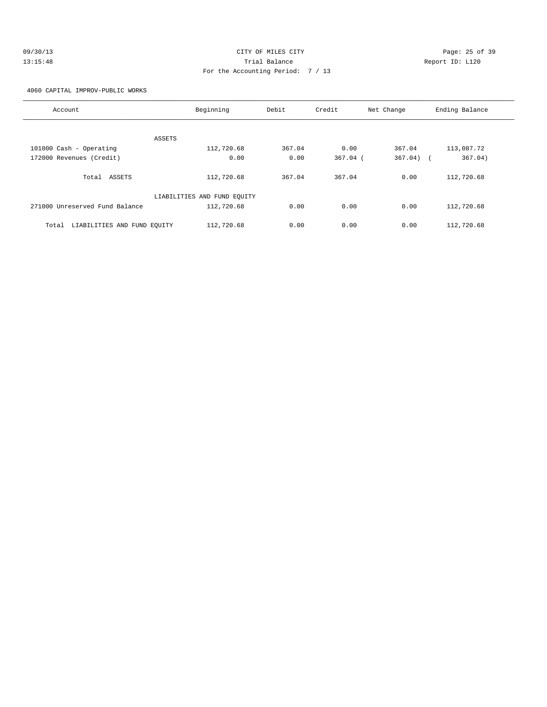# 09/30/13 Page: 25 of 39 13:15:48 Trial Balance Report ID: L120 For the Accounting Period: 7 / 13

4060 CAPITAL IMPROV-PUBLIC WORKS

| Account                              | Beginning                   | Debit  | Credit     | Net Change | Ending Balance    |
|--------------------------------------|-----------------------------|--------|------------|------------|-------------------|
|                                      |                             |        |            |            |                   |
| <b>ASSETS</b>                        |                             |        |            |            |                   |
| 101000 Cash - Operating              | 112,720.68                  | 367.04 | 0.00       | 367.04     | 113,087.72        |
| 172000 Revenues (Credit)             | 0.00                        | 0.00   | $367.04$ ( | 367.04)    | 367.04)<br>$\sim$ |
|                                      |                             |        |            |            |                   |
| Total ASSETS                         | 112,720.68                  | 367.04 | 367.04     | 0.00       | 112,720.68        |
|                                      | LIABILITIES AND FUND EQUITY |        |            |            |                   |
| 271000 Unreserved Fund Balance       | 112,720.68                  | 0.00   | 0.00       | 0.00       | 112,720.68        |
| LIABILITIES AND FUND EOUITY<br>Total | 112,720.68                  | 0.00   | 0.00       | 0.00       | 112,720.68        |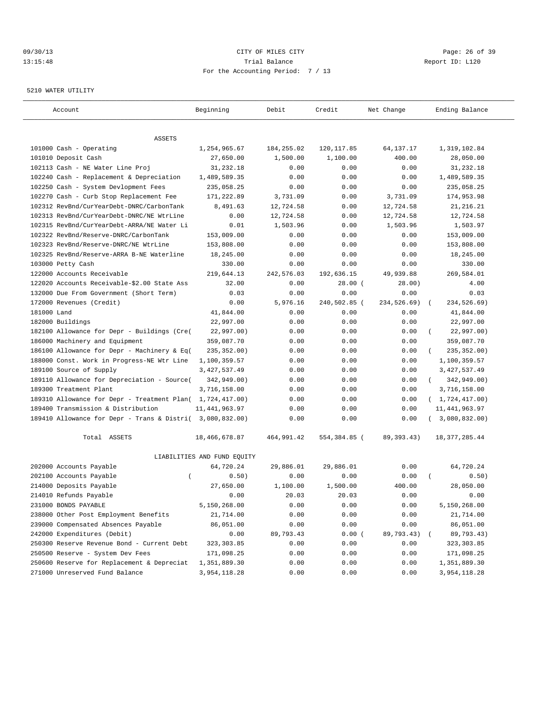# 09/30/13 Page: 26 of 39 13:15:48 Trial Balance Report ID: L120 For the Accounting Period: 7 / 13

#### 5210 WATER UTILITY

| Account                                                             | Beginning                   | Debit            | Credit                  | Net Change            | Ending Balance          |
|---------------------------------------------------------------------|-----------------------------|------------------|-------------------------|-----------------------|-------------------------|
|                                                                     |                             |                  |                         |                       |                         |
| ASSETS<br>101000 Cash - Operating                                   | 1,254,965.67                |                  |                         |                       | 1,319,102.84            |
|                                                                     | 27,650.00                   | 184,255.02       | 120, 117.85<br>1,100.00 | 64, 137. 17<br>400.00 |                         |
| 101010 Deposit Cash<br>102113 Cash - NE Water Line Proj             | 31,232.18                   | 1,500.00<br>0.00 | 0.00                    | 0.00                  | 28,050.00<br>31,232.18  |
| 102240 Cash - Replacement & Depreciation                            | 1,489,589.35                | 0.00             | 0.00                    | 0.00                  | 1,489,589.35            |
| 102250 Cash - System Devlopment Fees                                | 235,058.25                  | 0.00             | 0.00                    | 0.00                  | 235,058.25              |
| 102270 Cash - Curb Stop Replacement Fee                             | 171,222.89                  | 3,731.09         | 0.00                    | 3,731.09              | 174,953.98              |
| 102312 RevBnd/CurYearDebt-DNRC/CarbonTank                           | 8,491.63                    | 12,724.58        | 0.00                    | 12,724.58             | 21, 216. 21             |
| 102313 RevBnd/CurYearDebt-DNRC/NE WtrLine                           | 0.00                        | 12,724.58        | 0.00                    | 12,724.58             | 12,724.58               |
| 102315 RevBnd/CurYearDebt-ARRA/NE Water Li                          | 0.01                        | 1,503.96         | 0.00                    | 1,503.96              | 1,503.97                |
| 102322 RevBnd/Reserve-DNRC/CarbonTank                               | 153,009.00                  | 0.00             | 0.00                    | 0.00                  | 153,009.00              |
| 102323 RevBnd/Reserve-DNRC/NE WtrLine                               | 153,808.00                  | 0.00             | 0.00                    | 0.00                  | 153,808.00              |
| 102325 RevBnd/Reserve-ARRA B-NE Waterline                           | 18,245.00                   | 0.00             | 0.00                    | 0.00                  | 18,245.00               |
| 103000 Petty Cash                                                   | 330.00                      | 0.00             | 0.00                    | 0.00                  | 330.00                  |
| 122000 Accounts Receivable                                          | 219,644.13                  | 242,576.03       |                         | 49,939.88             | 269,584.01              |
|                                                                     | 32.00                       | 0.00             | 192,636.15              | 28.00)                | 4.00                    |
| 122020 Accounts Receivable-\$2.00 State Ass                         |                             |                  | $28.00$ (               |                       |                         |
| 132000 Due From Government (Short Term)<br>172000 Revenues (Credit) | 0.03<br>0.00                | 0.00<br>5,976.16 | 0.00<br>240,502.85 (    | 0.00<br>234,526.69)   | 0.03<br>234,526.69)     |
| 181000 Land                                                         |                             | 0.00             |                         | 0.00                  | $\sqrt{2}$              |
|                                                                     | 41,844.00<br>22,997.00      |                  | 0.00                    |                       | 41,844.00               |
| 182000 Buildings                                                    |                             | 0.00             | 0.00                    | 0.00                  | 22,997.00               |
| 182100 Allowance for Depr - Buildings (Cre(                         | 22,997.00)                  | 0.00             | 0.00                    | 0.00                  | 22,997.00)              |
| 186000 Machinery and Equipment                                      | 359,087.70                  | 0.00             | 0.00                    | 0.00                  | 359,087.70              |
| 186100 Allowance for Depr - Machinery & Eq(                         | 235, 352.00)                | 0.00             | 0.00                    | 0.00                  | 235, 352.00)            |
| 188000 Const. Work in Progress-NE Wtr Line                          | 1,100,359.57                | 0.00             | 0.00                    | 0.00                  | 1,100,359.57            |
| 189100 Source of Supply                                             | 3, 427, 537.49              | 0.00             | 0.00                    | 0.00                  | 3, 427, 537.49          |
| 189110 Allowance for Depreciation - Source(                         | 342,949.00)                 | 0.00             | 0.00                    | 0.00                  | 342,949.00)<br>$\left($ |
| 189300 Treatment Plant                                              | 3,716,158.00                | 0.00             | 0.00                    | 0.00                  | 3,716,158.00            |
| 189310 Allowance for Depr - Treatment Plan( 1,724,417.00)           |                             | 0.00             | 0.00                    | 0.00                  | (1, 724, 417.00)        |
| 189400 Transmission & Distribution                                  | 11, 441, 963.97             | 0.00             | 0.00                    | 0.00                  | 11, 441, 963.97         |
| 189410 Allowance for Depr - Trans & Distri( 3,080,832.00)           |                             | 0.00             | 0.00                    | 0.00                  | 3,080,832.00)           |
| Total ASSETS                                                        | 18,466,678.87               | 464,991.42       | 554,384.85 (            | 89, 393. 43)          | 18, 377, 285.44         |
|                                                                     | LIABILITIES AND FUND EQUITY |                  |                         |                       |                         |
| 202000 Accounts Payable                                             | 64,720.24                   | 29,886.01        | 29,886.01               | 0.00                  | 64,720.24               |
| 202100 Accounts Payable<br>$\overline{ }$                           | 0.50)                       | 0.00             | 0.00                    | 0.00                  | 0.50)                   |
| 214000 Deposits Payable                                             | 27,650.00                   | 1,100.00         | 1,500.00                | 400.00                | 28,050.00               |
| 214010 Refunds Payable                                              | 0.00                        | 20.03            | 20.03                   | 0.00                  | 0.00                    |
| 231000 BONDS PAYABLE                                                | 5,150,268.00                | 0.00             | 0.00                    | 0.00                  | 5,150,268.00            |
| 238000 Other Post Employment Benefits                               | 21,714.00                   | 0.00             | 0.00                    | 0.00                  | 21,714.00               |
| 239000 Compensated Absences Payable                                 | 86,051.00                   | 0.00             | 0.00                    | 0.00                  | 86,051.00               |
| 242000 Expenditures (Debit)                                         | 0.00                        | 89,793.43        | 0.00(                   | 89,793.43)            | 89,793.43)              |
| 250300 Reserve Revenue Bond - Current Debt                          | 323, 303.85                 | 0.00             | 0.00                    | 0.00                  | 323, 303.85             |
| 250500 Reserve - System Dev Fees                                    | 171,098.25                  | 0.00             | 0.00                    | 0.00                  | 171,098.25              |
| 250600 Reserve for Replacement & Depreciat                          | 1,351,889.30                | 0.00             | 0.00                    | 0.00                  | 1,351,889.30            |
| 271000 Unreserved Fund Balance                                      | 3,954,118.28                | 0.00             | 0.00                    | 0.00                  | 3,954,118.28            |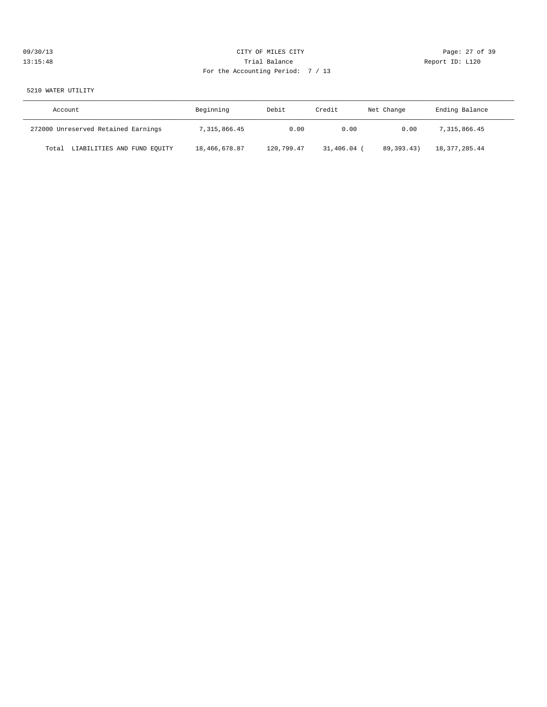| 09/30/13 | CITY OF MILES CITY                | Page: 27 of 39  |
|----------|-----------------------------------|-----------------|
| 13:15:48 | Trial Balance                     | Report ID: L120 |
|          | For the Accounting Period: 7 / 13 |                 |

5210 WATER UTILITY

| Account                              | Beginning     | Debit      | Credit    | Net Change   | Ending Balance |
|--------------------------------------|---------------|------------|-----------|--------------|----------------|
| 272000 Unreserved Retained Earnings  | 7,315,866.45  | 0.00       | 0.00      | 0.00         | 7,315,866.45   |
| LIABILITIES AND FUND EQUITY<br>Total | 18,466,678.87 | 120,799.47 | 31,406.04 | 89, 393, 43) | 18,377,285.44  |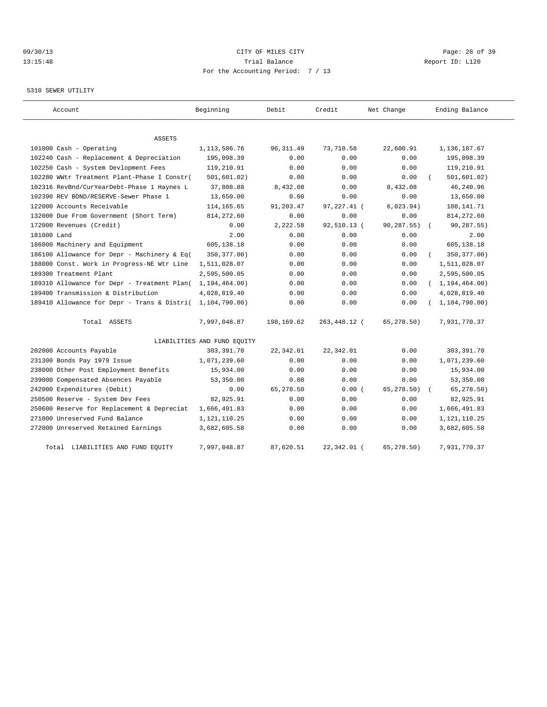# 09/30/13 Page: 28 of 39 13:15:48 Trial Balance Report ID: L120 For the Accounting Period: 7 / 13

### 5310 SEWER UTILITY

| Account                                     | Beginning                   | Debit      | Credit       | Net Change  | Ending Balance   |
|---------------------------------------------|-----------------------------|------------|--------------|-------------|------------------|
| <b>ASSETS</b>                               |                             |            |              |             |                  |
| 101000 Cash - Operating                     | 1, 113, 586. 76             | 96, 311.49 | 73,710.58    | 22,600.91   | 1,136,187.67     |
| 102240 Cash - Replacement & Depreciation    | 195,098.39                  | 0.00       | 0.00         | 0.00        | 195,098.39       |
| 102250 Cash - System Devlopment Fees        | 119,210.91                  | 0.00       | 0.00         | 0.00        | 119,210.91       |
| 102280 WWtr Treatment Plant-Phase I Constr( | 501, 601.02)                | 0.00       | 0.00         | 0.00        | 501, 601.02)     |
| 102316 RevBnd/CurYearDebt-Phase 1 Haynes L  | 37,808.88                   | 8,432.08   | 0.00         | 8,432.08    | 46,240.96        |
| 102390 REV BOND/RESERVE-Sewer Phase 1       | 13,650.00                   | 0.00       | 0.00         | 0.00        | 13,650.00        |
| 122000 Accounts Receivable                  | 114,165.65                  | 91,203.47  | 97,227.41 (  | 6,023.94)   | 108,141.71       |
| 132000 Due From Government (Short Term)     | 814, 272.60                 | 0.00       | 0.00         | 0.00        | 814, 272.60      |
| 172000 Revenues (Credit)                    | 0.00                        | 2,222.58   | 92,510.13 (  | 90,287.55)  | 90,287.55)       |
| 181000 Land                                 | 2.00                        | 0.00       | 0.00         | 0.00        | 2.00             |
| 186000 Machinery and Equipment              | 605,138.18                  | 0.00       | 0.00         | 0.00        | 605,138.18       |
| 186100 Allowance for Depr - Machinery & Eq( | 350, 377.00)                | 0.00       | 0.00         | 0.00        | 350, 377.00)     |
| 188000 Const. Work in Progress-NE Wtr Line  | 1,511,028.07                | 0.00       | 0.00         | 0.00        | 1,511,028.07     |
| 189300 Treatment Plant                      | 2,595,500.05                | 0.00       | 0.00         | 0.00        | 2,595,500.05     |
| 189310 Allowance for Depr - Treatment Plan( | 1, 194, 464.00)             | 0.00       | 0.00         | 0.00        | (1, 194, 464.00) |
| 189400 Transmission & Distribution          | 4,028,819.40                | 0.00       | 0.00         | 0.00        | 4,028,819.40     |
| 189410 Allowance for Depr - Trans & Distri( | 1,104,790.00)               | 0.00       | 0.00         | 0.00        | 1, 104, 790.00)  |
| Total ASSETS                                | 7,997,048.87                | 198,169.62 | 263,448.12 ( | 65,278.50)  | 7,931,770.37     |
|                                             | LIABILITIES AND FUND EQUITY |            |              |             |                  |
| 202000 Accounts Payable                     | 303,391.70                  | 22,342.01  | 22,342.01    | 0.00        | 303,391.70       |
| 231300 Bonds Pay 1979 Issue                 | 1,071,239.60                | 0.00       | 0.00         | 0.00        | 1,071,239.60     |
| 238000 Other Post Employment Benefits       | 15,934.00                   | 0.00       | 0.00         | 0.00        | 15,934.00        |
| 239000 Compensated Absences Payable         | 53,350.00                   | 0.00       | 0.00         | 0.00        | 53,350.00        |
| 242000 Expenditures (Debit)                 | 0.00                        | 65,278.50  | 0.00(        | 65, 278.50) | 65, 278.50)      |
| 250500 Reserve - System Dev Fees            | 82,925.91                   | 0.00       | 0.00         | 0.00        | 82,925.91        |
| 250600 Reserve for Replacement & Depreciat  | 1,666,491.83                | 0.00       | 0.00         | 0.00        | 1,666,491.83     |
| 271000 Unreserved Fund Balance              | 1,121,110.25                | 0.00       | 0.00         | 0.00        | 1, 121, 110. 25  |
| 272000 Unreserved Retained Earnings         | 3,682,605.58                | 0.00       | 0.00         | 0.00        | 3,682,605.58     |
| Total LIABILITIES AND FUND EQUITY           | 7,997,048.87                | 87,620.51  | 22,342.01 (  | 65,278.50)  | 7,931,770.37     |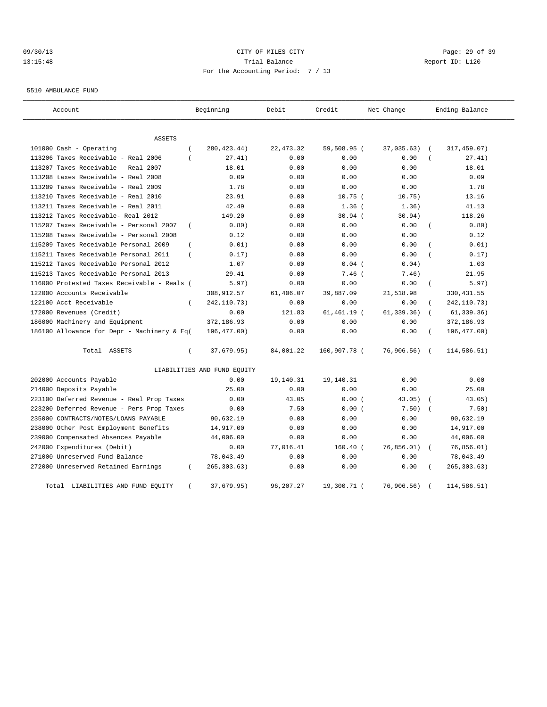# 09/30/13 Page: 29 of 39 13:15:48 Trial Balance Report ID: L120 For the Accounting Period: 7 / 13

5510 AMBULANCE FUND

| Account                                     |                | Beginning                   | Debit       | Credit         | Net Change  |                | Ending Balance |
|---------------------------------------------|----------------|-----------------------------|-------------|----------------|-------------|----------------|----------------|
| ASSETS                                      |                |                             |             |                |             |                |                |
| 101000 Cash - Operating                     | $\overline{ }$ | 280, 423.44)                | 22, 473.32  | 59,508.95 (    | 37,035.63)  | $\sqrt{2}$     | 317,459.07)    |
| 113206 Taxes Receivable - Real 2006         |                | 27.41)                      | 0.00        | 0.00           | 0.00        |                | 27.41)         |
| 113207 Taxes Receivable - Real 2007         |                | 18.01                       | 0.00        | 0.00           | 0.00        |                | 18.01          |
| 113208 taxes Receivable - Real 2008         |                | 0.09                        | 0.00        | 0.00           | 0.00        |                | 0.09           |
| 113209 Taxes Receivable - Real 2009         |                | 1.78                        | 0.00        | 0.00           | 0.00        |                | 1.78           |
| 113210 Taxes Receivable - Real 2010         |                | 23.91                       | 0.00        | $10.75$ (      | 10.75)      |                | 13.16          |
| 113211 Taxes Receivable - Real 2011         |                | 42.49                       | 0.00        | $1.36$ (       | 1.36)       |                | 41.13          |
| 113212 Taxes Receivable- Real 2012          |                | 149.20                      | 0.00        | $30.94$ (      | 30.94)      |                | 118.26         |
| 115207 Taxes Receivable - Personal 2007     | $\overline{ }$ | 0.80)                       | 0.00        | 0.00           | 0.00        |                | 0.80)          |
| 115208 Taxes Receivable - Personal 2008     |                | 0.12                        | 0.00        | 0.00           | 0.00        |                | 0.12           |
| 115209 Taxes Receivable Personal 2009       | $\left($       | 0.01)                       | 0.00        | 0.00           | 0.00        |                | 0.01)          |
| 115211 Taxes Receivable Personal 2011       | $\left($       | 0.17)                       | 0.00        | 0.00           | 0.00        |                | 0.17)          |
| 115212 Taxes Receivable Personal 2012       |                | 1.07                        | 0.00        | $0.04$ (       | 0.04)       |                | 1.03           |
| 115213 Taxes Receivable Personal 2013       |                | 29.41                       | 0.00        | 7.46 (         | 7.46)       |                | 21.95          |
| 116000 Protested Taxes Receivable - Reals ( |                | 5.97)                       | 0.00        | 0.00           | 0.00        |                | 5.97)          |
| 122000 Accounts Receivable                  |                | 308,912.57                  | 61,406.07   | 39,887.09      | 21,518.98   |                | 330, 431.55    |
| 122100 Acct Receivable                      | $\left($       | 242, 110.73)                | 0.00        | 0.00           | 0.00        |                | 242, 110.73)   |
| 172000 Revenues (Credit)                    |                | 0.00                        | 121.83      | $61, 461.19$ ( | 61, 339.36) |                | 61, 339.36)    |
| 186000 Machinery and Equipment              |                | 372,186.93                  | 0.00        | 0.00           | 0.00        |                | 372,186.93     |
| 186100 Allowance for Depr - Machinery & Eq( |                | 196,477.00)                 | 0.00        | 0.00           | 0.00        | $\overline{ }$ | 196, 477.00)   |
| Total ASSETS                                | $\left($       | 37,679.95)                  | 84,001.22   | 160,907.78 (   | 76,906.56)  | $\sqrt{2}$     | 114,586.51)    |
|                                             |                | LIABILITIES AND FUND EQUITY |             |                |             |                |                |
| 202000 Accounts Payable                     |                | 0.00                        | 19,140.31   | 19,140.31      | 0.00        |                | 0.00           |
| 214000 Deposits Payable                     |                | 25.00                       | 0.00        | 0.00           | 0.00        |                | 25.00          |
| 223100 Deferred Revenue - Real Prop Taxes   |                | 0.00                        | 43.05       | 0.00(          | 43.05)      |                | 43.05)         |
| 223200 Deferred Revenue - Pers Prop Taxes   |                | 0.00                        | 7.50        | 0.00(          | 7.50)       |                | 7.50)          |
| 235000 CONTRACTS/NOTES/LOANS PAYABLE        |                | 90,632.19                   | 0.00        | 0.00           | 0.00        |                | 90,632.19      |
| 238000 Other Post Employment Benefits       |                | 14,917.00                   | 0.00        | 0.00           | 0.00        |                | 14,917.00      |
| 239000 Compensated Absences Payable         |                | 44,006.00                   | 0.00        | 0.00           | 0.00        |                | 44,006.00      |
| 242000 Expenditures (Debit)                 |                | 0.00                        | 77,016.41   | $160.40$ (     | 76,856.01)  |                | 76,856.01)     |
| 271000 Unreserved Fund Balance              |                | 78,043.49                   | 0.00        | 0.00           | 0.00        |                | 78,043.49      |
| 272000 Unreserved Retained Earnings         |                | 265, 303.63)                | 0.00        | 0.00           | 0.00        |                | 265, 303.63)   |
| LIABILITIES AND FUND EQUITY<br>Total        |                | 37,679.95)                  | 96, 207. 27 | 19,300.71 (    | 76, 906.56) |                | 114,586.51)    |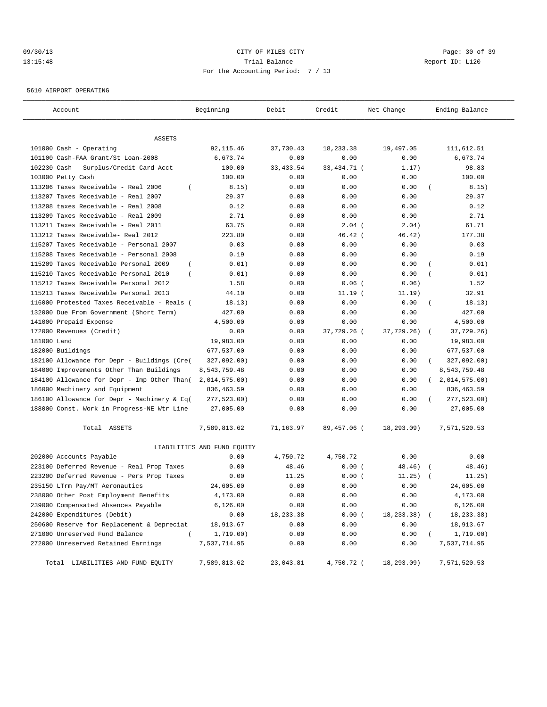# 09/30/13 Page: 30 of 39 13:15:48 Trial Balance Report ID: L120 For the Accounting Period: 7 / 13

5610 AIRPORT OPERATING

| Account                                                 | Beginning                   | Debit      | Credit        | Net Change   | Ending Balance          |
|---------------------------------------------------------|-----------------------------|------------|---------------|--------------|-------------------------|
|                                                         |                             |            |               |              |                         |
| ASSETS                                                  |                             |            |               |              |                         |
| 101000 Cash - Operating                                 | 92, 115.46                  | 37,730.43  | 18, 233.38    | 19,497.05    | 111,612.51              |
| 101100 Cash-FAA Grant/St Loan-2008                      | 6,673.74                    | 0.00       | 0.00          | 0.00         | 6,673.74                |
| 102230 Cash - Surplus/Credit Card Acct                  | 100.00                      | 33, 433.54 | 33, 434. 71 ( | 1.17)        | 98.83                   |
| 103000 Petty Cash                                       | 100.00                      | 0.00       | 0.00          | 0.00         | 100.00                  |
| 113206 Taxes Receivable - Real 2006<br>$\left($         | 8.15)                       | 0.00       | 0.00          | 0.00         | 8.15)                   |
| 113207 Taxes Receivable - Real 2007                     | 29.37                       | 0.00       | 0.00          | 0.00         | 29.37                   |
| 113208 taxes Receivable - Real 2008                     | 0.12                        | 0.00       | 0.00          | 0.00         | 0.12                    |
| 113209 Taxes Receivable - Real 2009                     | 2.71                        | 0.00       | 0.00          | 0.00         | 2.71                    |
| 113211 Taxes Receivable - Real 2011                     | 63.75                       | 0.00       | $2.04$ (      | 2.04)        | 61.71                   |
| 113212 Taxes Receivable- Real 2012                      | 223.80                      | 0.00       | $46.42$ (     | 46.42)       | 177.38                  |
| 115207 Taxes Receivable - Personal 2007                 | 0.03                        | 0.00       | 0.00          | 0.00         | 0.03                    |
| 115208 Taxes Receivable - Personal 2008                 | 0.19                        | 0.00       | 0.00          | 0.00         | 0.19                    |
| 115209 Taxes Receivable Personal 2009<br>$\left($       | 0.01)                       | 0.00       | 0.00          | 0.00         | 0.01)                   |
| 115210 Taxes Receivable Personal 2010<br>$\overline{ }$ | 0.01)                       | 0.00       | 0.00          | 0.00         | 0.01)                   |
| 115212 Taxes Receivable Personal 2012                   | 1.58                        | 0.00       | $0.06$ (      | 0.06)        | 1.52                    |
| 115213 Taxes Receivable Personal 2013                   | 44.10                       | 0.00       | $11.19$ (     | 11.19)       | 32.91                   |
| 116000 Protested Taxes Receivable - Reals (             | 18.13)                      | 0.00       | 0.00          | 0.00         | 18.13)<br>$\left($      |
| 132000 Due From Government (Short Term)                 | 427.00                      | 0.00       | 0.00          | 0.00         | 427.00                  |
| 141000 Prepaid Expense                                  | 4,500.00                    | 0.00       | 0.00          | 0.00         | 4,500.00                |
| 172000 Revenues (Credit)                                | 0.00                        | 0.00       | 37,729.26 (   | 37,729.26)   | 37,729.26)              |
| 181000 Land                                             | 19,983.00                   | 0.00       | 0.00          | 0.00         | 19,983.00               |
| 182000 Buildings                                        | 677,537.00                  | 0.00       | 0.00          | 0.00         | 677,537.00              |
| 182100 Allowance for Depr - Buildings (Cre(             | 327,092.00)                 | 0.00       | 0.00          | 0.00         | 327,092.00)             |
| 184000 Improvements Other Than Buildings                | 8,543,759.48                | 0.00       | 0.00          | 0.00         | 8,543,759.48            |
| 184100 Allowance for Depr - Imp Other Than(             | 2,014,575.00)               | 0.00       | 0.00          | 0.00         | (2,014,575.00)          |
| 186000 Machinery and Equipment                          | 836, 463.59                 | 0.00       | 0.00          | 0.00         | 836, 463.59             |
| 186100 Allowance for Depr - Machinery & Eq(             | 277,523.00)                 | 0.00       | 0.00          | 0.00         | 277,523.00)<br>$\left($ |
| 188000 Const. Work in Progress-NE Wtr Line              | 27,005.00                   | 0.00       | 0.00          | 0.00         | 27,005.00               |
| Total ASSETS                                            | 7,589,813.62                | 71,163.97  | 89,457.06 (   | 18,293.09)   | 7,571,520.53            |
|                                                         | LIABILITIES AND FUND EQUITY |            |               |              |                         |
| 202000 Accounts Payable                                 | 0.00                        | 4,750.72   | 4,750.72      | 0.00         | 0.00                    |
| 223100 Deferred Revenue - Real Prop Taxes               | 0.00                        | 48.46      | 0.00(         | 48.46)       | 48.46)<br>$\sqrt{2}$    |
| 223200 Deferred Revenue - Pers Prop Taxes               | 0.00                        | 11.25      | 0.00(         | 11.25)       | 11.25)                  |
| 235150 LTrm Pay/MT Aeronautics                          | 24,605.00                   | 0.00       | 0.00          | 0.00         | 24,605.00               |
| 238000 Other Post Employment Benefits                   | 4,173.00                    | 0.00       | 0.00          | 0.00         | 4,173.00                |
| 239000 Compensated Absences Payable                     | 6,126.00                    | 0.00       | 0.00          | 0.00         | 6,126.00                |
| 242000 Expenditures (Debit)                             | 0.00                        | 18,233.38  | 0.00(         | 18,233.38) ( | 18, 233.38)             |
| 250600 Reserve for Replacement & Depreciat              | 18,913.67                   | 0.00       | 0.00          | 0.00         | 18,913.67               |
| 271000 Unreserved Fund Balance<br>$\left($              | 1,719.00)                   | 0.00       | 0.00          | 0.00         | 1,719.00)               |
| 272000 Unreserved Retained Earnings                     | 7,537,714.95                | 0.00       | 0.00          | 0.00         | 7,537,714.95            |
| Total LIABILITIES AND FUND EQUITY                       | 7,589,813.62                | 23,043.81  | 4,750.72 (    | 18,293.09)   | 7,571,520.53            |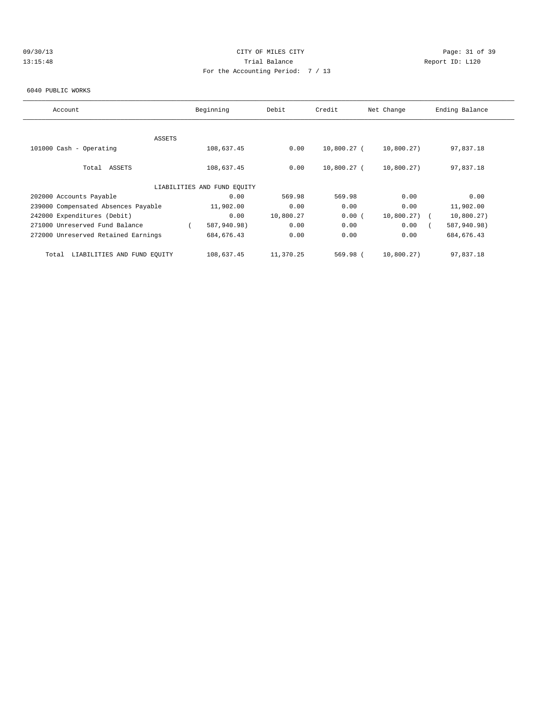# 09/30/13 Page: 31 of 39 13:15:48 Trial Balance Report ID: L120 For the Accounting Period: 7 / 13

#### 6040 PUBLIC WORKS

| Account                              | Beginning                   | Debit     | Credit      | Net Change | Ending Balance |
|--------------------------------------|-----------------------------|-----------|-------------|------------|----------------|
|                                      |                             |           |             |            |                |
| ASSETS                               |                             |           |             |            |                |
| 101000 Cash - Operating              | 108,637.45                  | 0.00      | 10,800.27 ( | 10,800.27) | 97,837.18      |
|                                      |                             |           |             |            |                |
| ASSETS<br>Total                      | 108,637.45                  | 0.00      | 10,800.27 ( | 10,800.27) | 97,837.18      |
|                                      |                             |           |             |            |                |
|                                      | LIABILITIES AND FUND EQUITY |           |             |            |                |
| 202000 Accounts Payable              | 0.00                        | 569.98    | 569.98      | 0.00       | 0.00           |
| 239000 Compensated Absences Payable  | 11,902.00                   | 0.00      | 0.00        | 0.00       | 11,902.00      |
| 242000 Expenditures (Debit)          | 0.00                        | 10,800.27 | 0.00(       | 10,800.27) | 10,800.27)     |
| 271000 Unreserved Fund Balance       | 587,940.98)                 | 0.00      | 0.00        | 0.00       | 587,940.98)    |
| 272000 Unreserved Retained Earnings  | 684, 676.43                 | 0.00      | 0.00        | 0.00       | 684, 676.43    |
|                                      |                             |           |             |            |                |
| LIABILITIES AND FUND EOUITY<br>Total | 108,637.45                  | 11,370.25 | 569.98 (    | 10,800.27) | 97,837.18      |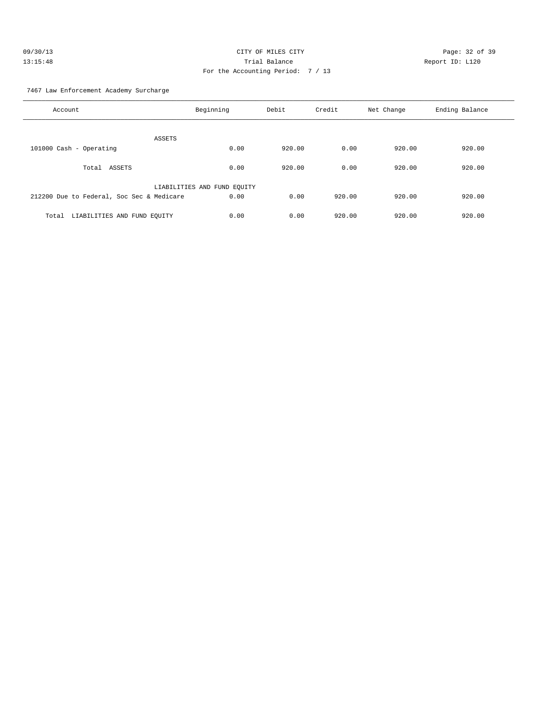| 09/30/13 | CITY OF MILES CITY                | Page: 32 of 39  |
|----------|-----------------------------------|-----------------|
| 13:15:48 | Trial Balance                     | Report ID: L120 |
|          | For the Accounting Period: 7 / 13 |                 |

7467 Law Enforcement Academy Surcharge

| Account                                   | Beginning                   | Debit  | Credit | Net Change | Ending Balance |
|-------------------------------------------|-----------------------------|--------|--------|------------|----------------|
| ASSETS                                    |                             |        |        |            |                |
| 101000 Cash - Operating                   | 0.00                        | 920.00 | 0.00   | 920.00     | 920.00         |
| Total<br>ASSETS                           | 0.00                        | 920.00 | 0.00   | 920.00     | 920.00         |
|                                           | LIABILITIES AND FUND EQUITY |        |        |            |                |
| 212200 Due to Federal, Soc Sec & Medicare | 0.00                        | 0.00   | 920.00 | 920.00     | 920.00         |
| LIABILITIES AND FUND EQUITY<br>Total      | 0.00                        | 0.00   | 920.00 | 920.00     | 920.00         |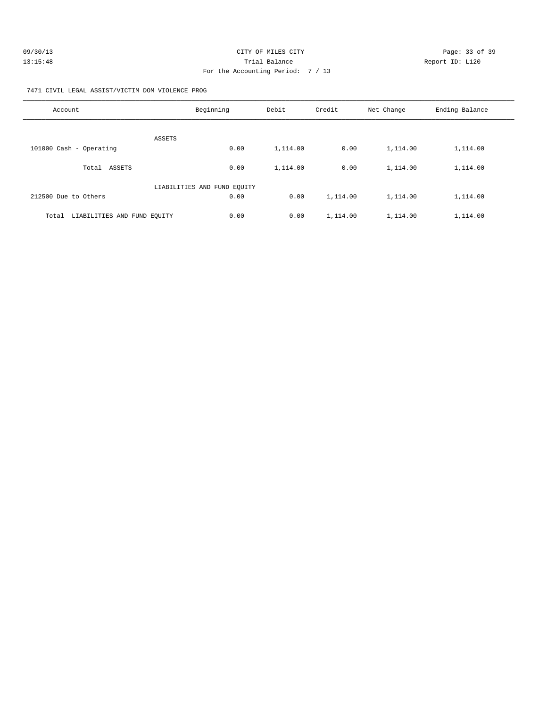| 09/30/13 | CITY OF MILES CITY                | Page: 33 of 39  |
|----------|-----------------------------------|-----------------|
| 13:15:48 | Trial Balance                     | Report ID: L120 |
|          | For the Accounting Period: 7 / 13 |                 |

7471 CIVIL LEGAL ASSIST/VICTIM DOM VIOLENCE PROG

| Account                              | Beginning                   | Debit    | Credit   | Net Change | Ending Balance |
|--------------------------------------|-----------------------------|----------|----------|------------|----------------|
| ASSETS                               |                             |          |          |            |                |
| 101000 Cash - Operating              | 0.00                        | 1,114.00 | 0.00     | 1,114.00   | 1,114.00       |
| ASSETS<br>Total                      | 0.00                        | 1,114.00 | 0.00     | 1,114.00   | 1,114.00       |
|                                      | LIABILITIES AND FUND EQUITY |          |          |            |                |
| 212500 Due to Others                 | 0.00                        | 0.00     | 1,114.00 | 1,114.00   | 1,114.00       |
| LIABILITIES AND FUND EOUITY<br>Total | 0.00                        | 0.00     | 1,114.00 | 1,114.00   | 1,114.00       |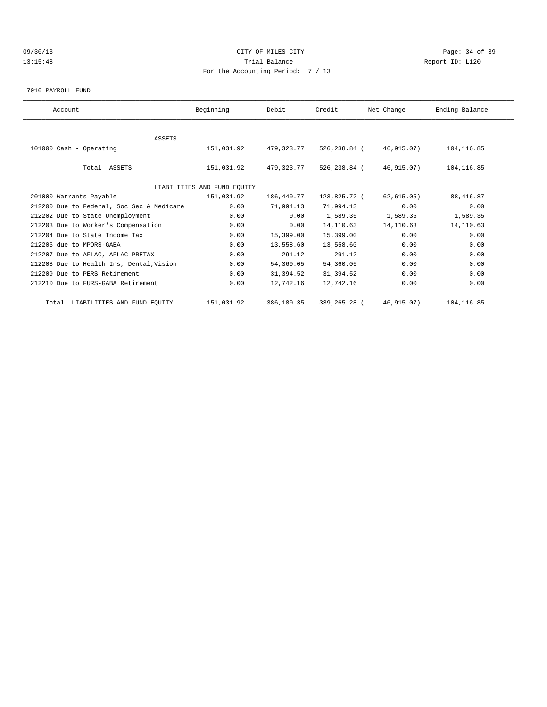# 09/30/13 Page: 34 of 39 13:15:48 Trial Balance Report ID: L120 For the Accounting Period: 7 / 13

7910 PAYROLL FUND

| Account                                   | Beginning                   | Debit      | Credit       | Net Change  | Ending Balance |  |
|-------------------------------------------|-----------------------------|------------|--------------|-------------|----------------|--|
|                                           |                             |            |              |             |                |  |
| <b>ASSETS</b>                             |                             |            |              |             |                |  |
| 101000 Cash - Operating                   | 151,031.92                  | 479,323.77 | 526,238.84 ( | 46,915.07)  | 104, 116.85    |  |
|                                           |                             |            |              |             |                |  |
| Total ASSETS                              | 151,031.92                  | 479,323.77 | 526,238.84 ( | 46,915.07)  | 104, 116.85    |  |
|                                           |                             |            |              |             |                |  |
|                                           | LIABILITIES AND FUND EQUITY |            |              |             |                |  |
| 201000 Warrants Payable                   | 151,031.92                  | 186,440.77 | 123,825.72 ( | 62, 615.05) | 88, 416.87     |  |
| 212200 Due to Federal, Soc Sec & Medicare | 0.00                        | 71,994.13  | 71,994.13    | 0.00        | 0.00           |  |
| 212202 Due to State Unemployment          | 0.00                        | 0.00       | 1,589.35     | 1,589.35    | 1,589.35       |  |
| 212203 Due to Worker's Compensation       | 0.00                        | 0.00       | 14, 110.63   | 14,110.63   | 14, 110.63     |  |
| 212204 Due to State Income Tax            | 0.00                        | 15,399.00  | 15,399.00    | 0.00        | 0.00           |  |
| 212205 due to MPORS-GABA                  | 0.00                        | 13,558.60  | 13,558.60    | 0.00        | 0.00           |  |
| 212207 Due to AFLAC, AFLAC PRETAX         | 0.00                        | 291.12     | 291.12       | 0.00        | 0.00           |  |
| 212208 Due to Health Ins, Dental, Vision  | 0.00                        | 54,360.05  | 54,360.05    | 0.00        | 0.00           |  |
| 212209 Due to PERS Retirement             | 0.00                        | 31,394.52  | 31,394.52    | 0.00        | 0.00           |  |
| 212210 Due to FURS-GABA Retirement        | 0.00                        | 12,742.16  | 12,742.16    | 0.00        | 0.00           |  |
| Total LIABILITIES AND FUND EQUITY         | 151,031.92                  | 386,180.35 | 339,265.28 ( | 46,915.07)  | 104, 116.85    |  |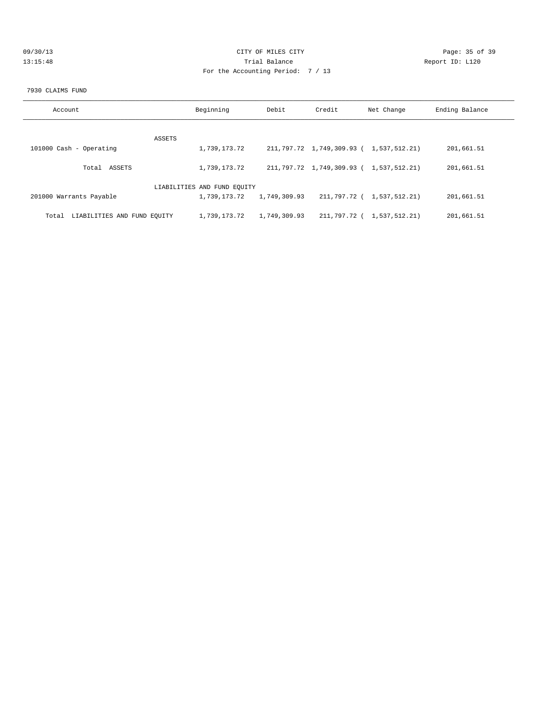| 09/30/13 | CITY OF MILES CITY                | Page: 35 of 39  |
|----------|-----------------------------------|-----------------|
| 13:15:48 | Trial Balance                     | Report ID: L120 |
|          | For the Accounting Period: 7 / 13 |                 |

#### 7930 CLAIMS FUND

| Account                              | Beginning                   | Debit        | Credit | Net Change                              | Ending Balance |
|--------------------------------------|-----------------------------|--------------|--------|-----------------------------------------|----------------|
|                                      |                             |              |        |                                         |                |
| ASSETS                               |                             |              |        |                                         |                |
| 101000 Cash - Operating              | 1,739,173.72                |              |        | 211,797.72 1,749,309.93 ( 1,537,512.21) | 201,661.51     |
| Total ASSETS                         | 1,739,173.72                |              |        | 211,797.72 1,749,309.93 ( 1,537,512.21) | 201,661.51     |
|                                      | LIABILITIES AND FUND EQUITY |              |        |                                         |                |
| 201000 Warrants Payable              | 1,739,173.72                | 1,749,309.93 |        | 211,797.72 ( 1,537,512.21)              | 201,661.51     |
| LIABILITIES AND FUND EQUITY<br>Total | 1,739,173.72                | 1,749,309.93 |        | 211,797.72 ( 1,537,512.21)              | 201,661.51     |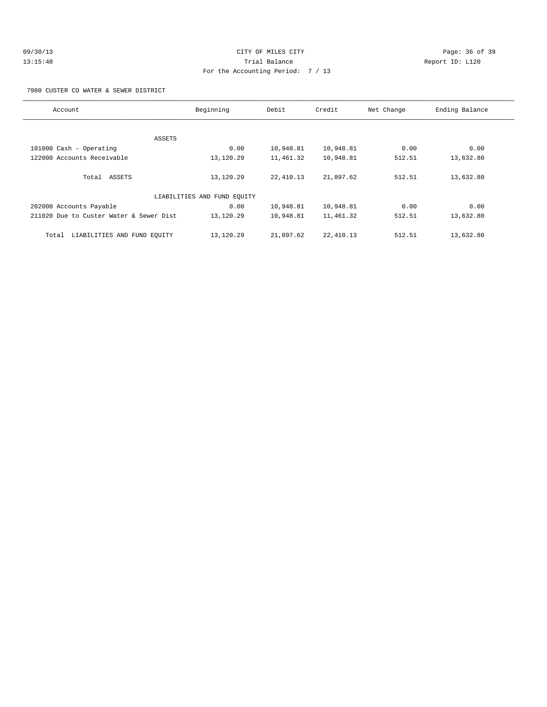# 09/30/13 Page: 36 of 39 13:15:48 Trial Balance Report ID: L120 For the Accounting Period: 7 / 13

7980 CUSTER CO WATER & SEWER DISTRICT

| Account                                 | Beginning                   | Debit     | Credit     | Net Change | Ending Balance |
|-----------------------------------------|-----------------------------|-----------|------------|------------|----------------|
|                                         |                             |           |            |            |                |
| ASSETS                                  |                             |           |            |            |                |
| 101000 Cash - Operating                 | 0.00                        | 10,948.81 | 10,948.81  | 0.00       | 0.00           |
| 122000 Accounts Receivable              | 13,120.29                   | 11,461.32 | 10,948.81  | 512.51     | 13,632.80      |
| Total ASSETS                            | 13,120.29                   | 22,410.13 | 21,897.62  | 512.51     | 13,632.80      |
|                                         | LIABILITIES AND FUND EQUITY |           |            |            |                |
| 202000 Accounts Payable                 | 0.00                        | 10,948.81 | 10,948.81  | 0.00       | 0.00           |
| 211020 Due to Custer Water & Sewer Dist | 13,120.29                   | 10,948.81 | 11,461.32  | 512.51     | 13,632.80      |
| LIABILITIES AND FUND EQUITY<br>Total    | 13,120.29                   | 21,897.62 | 22, 410.13 | 512.51     | 13,632.80      |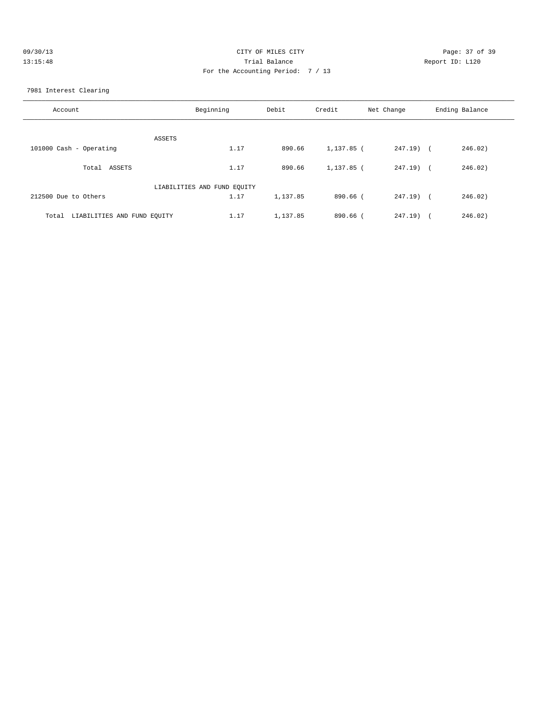| 09/30/13 | CITY OF MILES CITY                | Page: 37 of 39  |
|----------|-----------------------------------|-----------------|
| 13:15:48 | Trial Balance                     | Report ID: L120 |
|          | For the Accounting Period: 7 / 13 |                 |

7981 Interest Clearing

| Account                              | Beginning | Debit    | Credit     | Net Change | Ending Balance |
|--------------------------------------|-----------|----------|------------|------------|----------------|
| ASSETS                               |           |          |            |            |                |
| 101000 Cash - Operating              | 1.17      | 890.66   | 1,137.85 ( | 247.19) (  | 246.02)        |
| Total ASSETS                         | 1.17      | 890.66   | 1,137.85 ( | 247.19) (  | 246.02)        |
| LIABILITIES AND FUND EQUITY          |           |          |            |            |                |
| 212500 Due to Others                 | 1.17      | 1,137.85 | 890.66 (   | 247.19) (  | 246.02)        |
| LIABILITIES AND FUND EQUITY<br>Total | 1.17      | 1,137.85 | $890.66$ ( | $247.19$ ( | 246.02)        |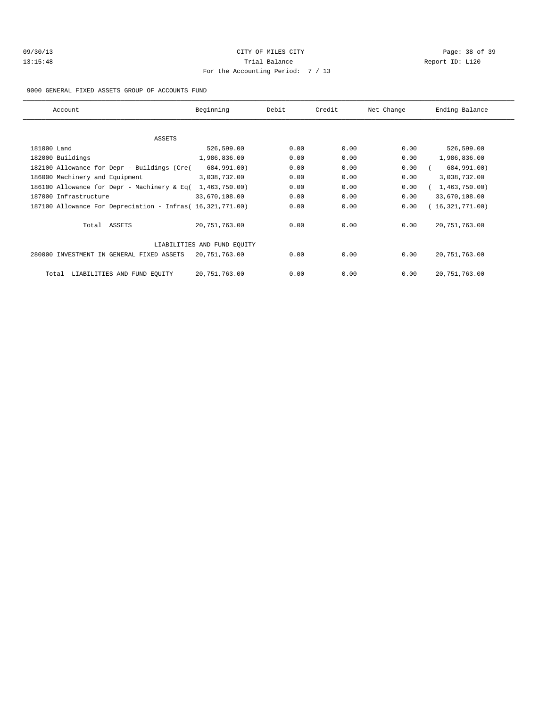| 09/30/13 |  |
|----------|--|
| 13:15:48 |  |

# CITY OF MILES CITY CONTROL CONTROL CONTROL CONTROL CONTROL PAGE: 38 of 39 13:15:48 Trial Balance and Communications of the Report ID: L120 For the Accounting Period: 7 / 13

### 9000 GENERAL FIXED ASSETS GROUP OF ACCOUNTS FUND

| Account                                                    | Beginning                   | Debit | Credit | Net Change | Ending Balance  |
|------------------------------------------------------------|-----------------------------|-------|--------|------------|-----------------|
|                                                            |                             |       |        |            |                 |
| ASSETS                                                     |                             |       |        |            |                 |
| 181000 Land                                                | 526,599.00                  | 0.00  | 0.00   | 0.00       | 526,599.00      |
| 182000 Buildings                                           | 1,986,836.00                | 0.00  | 0.00   | 0.00       | 1,986,836.00    |
| 182100 Allowance for Depr - Buildings (Cre(                | 684,991.00)                 | 0.00  | 0.00   | 0.00       | 684,991.00)     |
| 186000 Machinery and Equipment                             | 3,038,732.00                | 0.00  | 0.00   | 0.00       | 3,038,732.00    |
| 186100 Allowance for Depr - Machinery & Eq(                | 1,463,750.00)               | 0.00  | 0.00   | 0.00       | 1,463,750.00)   |
| 187000 Infrastructure                                      | 33,670,108.00               | 0.00  | 0.00   | 0.00       | 33,670,108.00   |
| 187100 Allowance For Depreciation - Infras( 16,321,771.00) |                             | 0.00  | 0.00   | 0.00       | (16,321,771.00) |
| Total ASSETS                                               | 20,751,763.00               | 0.00  | 0.00   | 0.00       | 20, 751, 763.00 |
|                                                            | LIABILITIES AND FUND EQUITY |       |        |            |                 |
| 280000 INVESTMENT IN GENERAL FIXED ASSETS                  | 20,751,763.00               | 0.00  | 0.00   | 0.00       | 20, 751, 763.00 |
| LIABILITIES AND FUND EQUITY<br>Total                       | 20,751,763.00               | 0.00  | 0.00   | 0.00       | 20, 751, 763.00 |